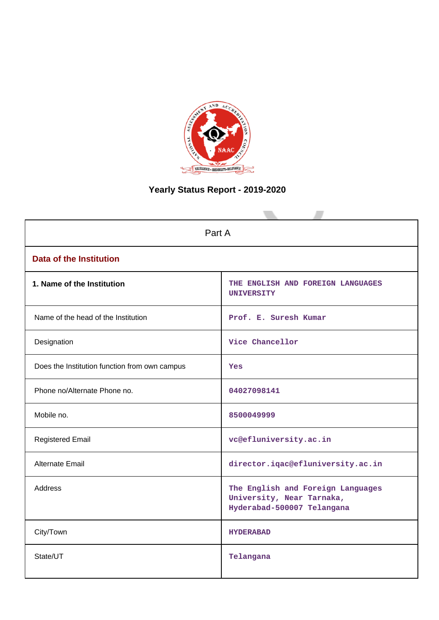

# **Yearly Status Report - 2019-2020**

| Part A                                        |                                                                                              |  |  |
|-----------------------------------------------|----------------------------------------------------------------------------------------------|--|--|
| <b>Data of the Institution</b>                |                                                                                              |  |  |
| 1. Name of the Institution                    | THE ENGLISH AND FOREIGN LANGUAGES<br><b>UNIVERSITY</b>                                       |  |  |
| Name of the head of the Institution           | Prof. E. Suresh Kumar                                                                        |  |  |
| Designation                                   | Vice Chancellor                                                                              |  |  |
| Does the Institution function from own campus | <b>Yes</b>                                                                                   |  |  |
| Phone no/Alternate Phone no.                  | 04027098141                                                                                  |  |  |
| Mobile no.                                    | 8500049999                                                                                   |  |  |
| <b>Registered Email</b>                       | vc@efluniversity.ac.in                                                                       |  |  |
| <b>Alternate Email</b>                        | director.iqac@efluniversity.ac.in                                                            |  |  |
| <b>Address</b>                                | The English and Foreign Languages<br>University, Near Tarnaka,<br>Hyderabad-500007 Telangana |  |  |
| City/Town                                     | <b>HYDERABAD</b>                                                                             |  |  |
| State/UT                                      | Telangana                                                                                    |  |  |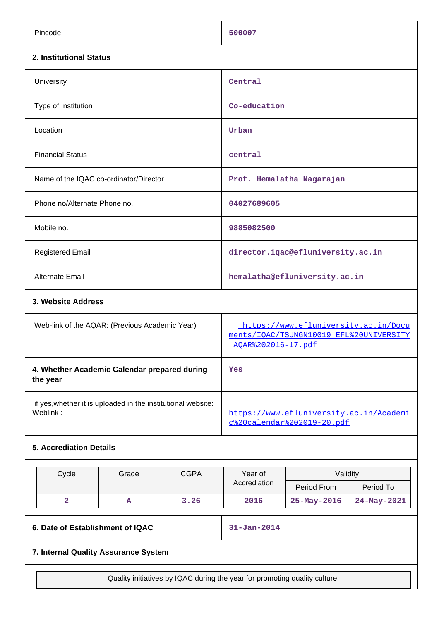| Pincode                                                                  | 500007                                                                                                |
|--------------------------------------------------------------------------|-------------------------------------------------------------------------------------------------------|
| 2. Institutional Status                                                  |                                                                                                       |
| University                                                               | Central                                                                                               |
| Type of Institution                                                      | Co-education                                                                                          |
| Location                                                                 | Urban                                                                                                 |
| <b>Financial Status</b>                                                  | central                                                                                               |
| Name of the IQAC co-ordinator/Director                                   | Prof. Hemalatha Nagarajan                                                                             |
| Phone no/Alternate Phone no.                                             | 04027689605                                                                                           |
| Mobile no.                                                               | 9885082500                                                                                            |
| <b>Registered Email</b>                                                  | director.iqac@efluniversity.ac.in                                                                     |
| Alternate Email                                                          | hemalatha@efluniversity.ac.in                                                                         |
| 3. Website Address                                                       |                                                                                                       |
| Web-link of the AQAR: (Previous Academic Year)                           | https://www.efluniversity.ac.in/Docu<br>ments/IOAC/TSUNGN10019 EFL%20UNIVERSITY<br>AOAR%202016-17.pdf |
| 4. Whether Academic Calendar prepared during<br>the year                 | Yes                                                                                                   |
| if yes, whether it is uploaded in the institutional website:<br>Weblink: | https://www.efluniversity.ac.in/Academi<br>c%20calendar%202019-20.pdf                                 |
| <b>5. Accrediation Details</b>                                           |                                                                                                       |

| Cycle | Grade | <b>CGPA</b> | Year of      | Validity          |             |
|-------|-------|-------------|--------------|-------------------|-------------|
|       |       |             | Accrediation | Period From       | Period To   |
|       | œ     | 3.26        | 2016         | $25 - May - 2016$ | 24-May-2021 |

**6. Date of Establishment of IQAC 31-Jan-2014**

## **7. Internal Quality Assurance System**

Quality initiatives by IQAC during the year for promoting quality culture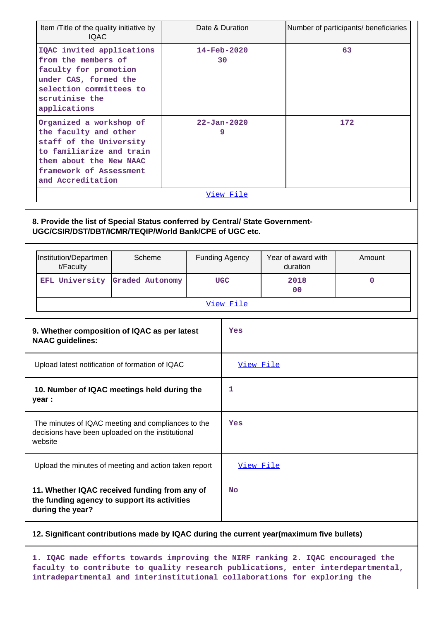| Item /Title of the quality initiative by<br><b>IOAC</b>                                                                                                                            |                                                       |     | Date & Duration                |                                | Number of participants/ beneficiaries |
|------------------------------------------------------------------------------------------------------------------------------------------------------------------------------------|-------------------------------------------------------|-----|--------------------------------|--------------------------------|---------------------------------------|
| IQAC invited applications<br>from the members of<br>faculty for promotion<br>under CAS, formed the<br>selection committees to<br>scrutinise the<br>applications                    |                                                       |     | $14 - \text{Feb} - 2020$<br>30 |                                | 63                                    |
| Organized a workshop of<br>the faculty and other<br>staff of the University<br>to familiarize and train<br>them about the New NAAC<br>framework of Assessment<br>and Accreditation |                                                       |     | $22 - Jan - 2020$<br>9         |                                | 172                                   |
|                                                                                                                                                                                    |                                                       |     | View File                      |                                |                                       |
| 8. Provide the list of Special Status conferred by Central/ State Government-<br>UGC/CSIR/DST/DBT/ICMR/TEQIP/World Bank/CPE of UGC etc.                                            |                                                       |     |                                |                                |                                       |
| Institution/Departmen<br>t/Faculty                                                                                                                                                 | Scheme                                                |     | <b>Funding Agency</b>          | Year of award with<br>duration | Amount                                |
| EFL University Graded Autonomy                                                                                                                                                     |                                                       |     | <b>UGC</b>                     | 2018<br>0 <sup>0</sup>         | $\mathbf 0$                           |
|                                                                                                                                                                                    |                                                       |     | View File                      |                                |                                       |
| 9. Whether composition of IQAC as per latest<br><b>NAAC</b> guidelines:                                                                                                            |                                                       | Yes |                                |                                |                                       |
| Upload latest notification of formation of IQAC                                                                                                                                    |                                                       |     | View File                      |                                |                                       |
| 10. Number of IQAC meetings held during the<br>year :                                                                                                                              |                                                       | 1   |                                |                                |                                       |
| The minutes of IQAC meeting and compliances to the<br>decisions have been uploaded on the institutional<br>website                                                                 |                                                       | Yes |                                |                                |                                       |
|                                                                                                                                                                                    | Upload the minutes of meeting and action taken report |     | View File                      |                                |                                       |
| 11. Whether IQAC received funding from any of<br>the funding agency to support its activities<br>during the year?                                                                  |                                                       |     | <b>No</b>                      |                                |                                       |

## **12. Significant contributions made by IQAC during the current year(maximum five bullets)**

**1. IQAC made efforts towards improving the NIRF ranking 2. IQAC encouraged the faculty to contribute to quality research publications, enter interdepartmental, intradepartmental and interinstitutional collaborations for exploring the**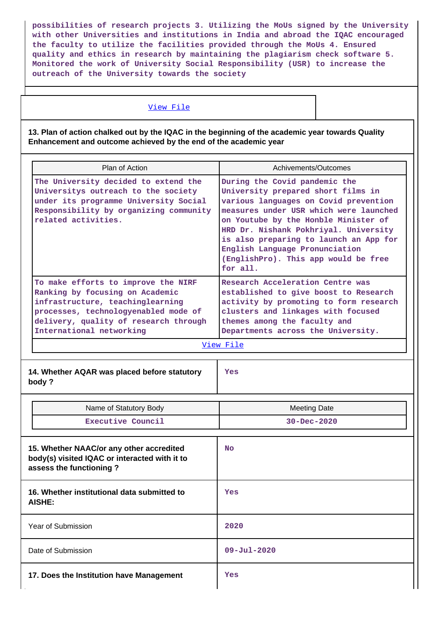**possibilities of research projects 3. Utilizing the MoUs signed by the University with other Universities and institutions in India and abroad the IQAC encouraged the faculty to utilize the facilities provided through the MoUs 4. Ensured quality and ethics in research by maintaining the plagiarism check software 5. Monitored the work of University Social Responsibility (USR) to increase the outreach of the University towards the society**

## [View File](https://assessmentonline.naac.gov.in/public/Postacc/Contribution/5620_Contribution.xlsx)

## **13. Plan of action chalked out by the IQAC in the beginning of the academic year towards Quality Enhancement and outcome achieved by the end of the academic year**

| Plan of Action                                                                                                                                                                                                          | Achivements/Outcomes                                                                                                                                                                                                                                                                                                                                                    |
|-------------------------------------------------------------------------------------------------------------------------------------------------------------------------------------------------------------------------|-------------------------------------------------------------------------------------------------------------------------------------------------------------------------------------------------------------------------------------------------------------------------------------------------------------------------------------------------------------------------|
| The University decided to extend the<br>Universitys outreach to the society<br>under its programme University Social<br>Responsibility by organizing community<br>related activities.                                   | During the Covid pandemic the<br>University prepared short films in<br>various languages on Covid prevention<br>measures under USR which were launched<br>on Youtube by the Honble Minister of<br>HRD Dr. Nishank Pokhriyal. University<br>is also preparing to launch an App for<br>English Language Pronunciation<br>(EnglishPro). This app would be free<br>for all. |
| To make efforts to improve the NIRF<br>Ranking by focusing on Academic<br>infrastructure, teachinglearning<br>processes, technologyenabled mode of<br>delivery, quality of research through<br>International networking | Research Acceleration Centre was<br>established to give boost to Research<br>activity by promoting to form research<br>clusters and linkages with focused<br>themes among the faculty and<br>Departments across the University.<br>View File                                                                                                                            |
|                                                                                                                                                                                                                         |                                                                                                                                                                                                                                                                                                                                                                         |
| 14. Whether AQAR was placed before statutory<br>body?                                                                                                                                                                   | Yes                                                                                                                                                                                                                                                                                                                                                                     |
| Name of Statutory Body                                                                                                                                                                                                  | <b>Meeting Date</b>                                                                                                                                                                                                                                                                                                                                                     |
| Executive Council                                                                                                                                                                                                       | $30 - Dec - 2020$                                                                                                                                                                                                                                                                                                                                                       |
| 15. Whether NAAC/or any other accredited<br>body(s) visited IQAC or interacted with it to<br>assess the functioning?                                                                                                    | <b>No</b>                                                                                                                                                                                                                                                                                                                                                               |
| 16. Whether institutional data submitted to<br><b>AISHE:</b>                                                                                                                                                            | Yes                                                                                                                                                                                                                                                                                                                                                                     |
| Year of Submission                                                                                                                                                                                                      | 2020                                                                                                                                                                                                                                                                                                                                                                    |
| Date of Submission                                                                                                                                                                                                      | $09 - \text{Jul} - 2020$                                                                                                                                                                                                                                                                                                                                                |
|                                                                                                                                                                                                                         |                                                                                                                                                                                                                                                                                                                                                                         |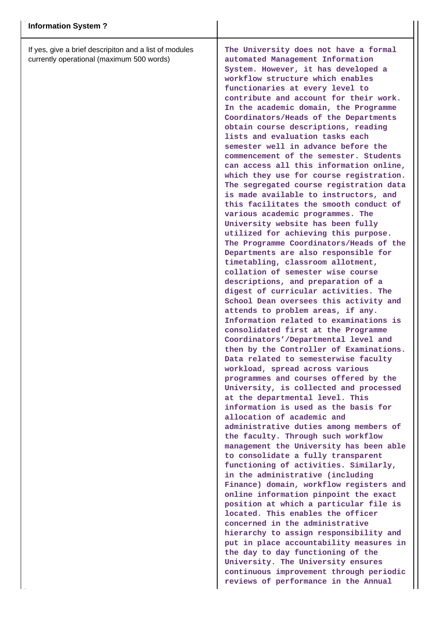If yes, give a brief descripiton and a list of modules currently operational (maximum 500 words)

**The University does not have a formal automated Management Information System. However, it has developed a workflow structure which enables functionaries at every level to contribute and account for their work. In the academic domain, the Programme Coordinators/Heads of the Departments obtain course descriptions, reading lists and evaluation tasks each semester well in advance before the commencement of the semester. Students can access all this information online, which they use for course registration. The segregated course registration data is made available to instructors, and this facilitates the smooth conduct of various academic programmes. The University website has been fully utilized for achieving this purpose. The Programme Coordinators/Heads of the Departments are also responsible for timetabling, classroom allotment, collation of semester wise course descriptions, and preparation of a digest of curricular activities. The School Dean oversees this activity and attends to problem areas, if any. Information related to examinations is consolidated first at the Programme Coordinators'/Departmental level and then by the Controller of Examinations. Data related to semesterwise faculty workload, spread across various programmes and courses offered by the University, is collected and processed at the departmental level. This information is used as the basis for allocation of academic and administrative duties among members of the faculty. Through such workflow management the University has been able to consolidate a fully transparent functioning of activities. Similarly, in the administrative (including Finance) domain, workflow registers and online information pinpoint the exact position at which a particular file is located. This enables the officer concerned in the administrative hierarchy to assign responsibility and put in place accountability measures in the day to day functioning of the University. The University ensures continuous improvement through periodic reviews of performance in the Annual**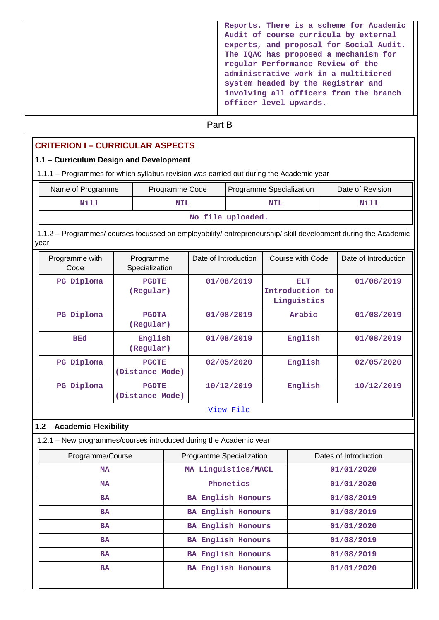| Reports. There is a scheme for Academic<br>Audit of course curricula by external |
|----------------------------------------------------------------------------------|
| experts, and proposal for Social Audit.                                          |
| The IQAC has proposed a mechanism for                                            |
| regular Performance Review of the                                                |
| administrative work in a multitiered                                             |
| system headed by the Registrar and                                               |
| involving all officers from the branch                                           |
| officer level upwards.                                                           |

# **Part B**

# **CRITERION I – CURRICULAR ASPECTS**

## **1.1 – Curriculum Design and Development**

| 1.1.1 – Programmes for which syllabus revision was carried out during the Academic year |                |                          |                  |
|-----------------------------------------------------------------------------------------|----------------|--------------------------|------------------|
| Name of Programme                                                                       | Programme Code | Programme Specialization | Date of Revision |
| Nill                                                                                    | <b>NIL</b>     | <b>NIL</b>               | Nill             |

**No file uploaded.**

 1.1.2 – Programmes/ courses focussed on employability/ entrepreneurship/ skill development during the Academic year

| Programme with<br>Code | Programme<br>Specialization     | Date of Introduction | Course with Code                      | Date of Introduction |  |
|------------------------|---------------------------------|----------------------|---------------------------------------|----------------------|--|
| Diploma<br>$_{\rm PG}$ | <b>PGDTE</b><br>(Regular)       | 01/08/2019           | ELT<br>Introduction to<br>Linguistics | 01/08/2019           |  |
| PG Diploma             | <b>PGDTA</b><br>(Regular)       | 01/08/2019           | Arabic                                | 01/08/2019           |  |
| <b>BEd</b>             | English<br>(Regular)            | 01/08/2019           | English                               | 01/08/2019           |  |
| PG Diploma             | <b>PGCTE</b><br>(Distance Mode) | 02/05/2020           | English                               | 02/05/2020           |  |
| Diploma<br>$_{\rm PG}$ | <b>PGDTE</b><br>(Distance Mode) | 10/12/2019           | English                               | 10/12/2019           |  |
|                        | <u>View File</u>                |                      |                                       |                      |  |

## **1.2 – Academic Flexibility**

1.2.1 – New programmes/courses introduced during the Academic year

| Programme/Course | Programme Specialization  | Dates of Introduction |
|------------------|---------------------------|-----------------------|
| MA               | MA Linguistics/MACL       | 01/01/2020            |
| MA               | Phonetics                 | 01/01/2020            |
| <b>BA</b>        | <b>BA English Honours</b> | 01/08/2019            |
| <b>BA</b>        | BA English Honours        | 01/08/2019            |
| <b>BA</b>        | <b>BA English Honours</b> | 01/01/2020            |
| <b>BA</b>        | <b>BA English Honours</b> | 01/08/2019            |
| <b>BA</b>        | <b>BA English Honours</b> | 01/08/2019            |
| <b>BA</b>        | <b>BA English Honours</b> | 01/01/2020            |
|                  |                           |                       |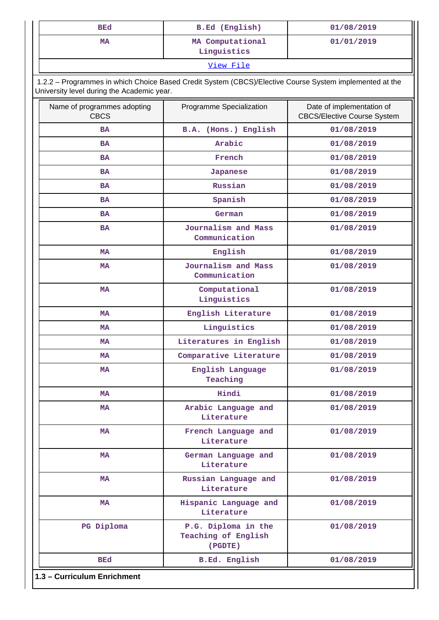| <b>BEd</b> | <b>B.Ed</b> (English)           | 01/08/2019 |
|------------|---------------------------------|------------|
| МA         | MA Computational<br>Linguistics | 01/01/2019 |

[View File](https://assessmentonline.naac.gov.in/public/Postacc/Program_introduced/5620_Program_introduced_1640791899.xlsx)

 1.2.2 – Programmes in which Choice Based Credit System (CBCS)/Elective Course System implemented at the University level during the Academic year.

| Name of programmes adopting<br><b>CBCS</b> | Programme Specialization                                            | Date of implementation of<br><b>CBCS/Elective Course System</b> |
|--------------------------------------------|---------------------------------------------------------------------|-----------------------------------------------------------------|
| <b>BA</b>                                  | B.A. (Hons.) English                                                | 01/08/2019                                                      |
| <b>BA</b>                                  | Arabic                                                              | 01/08/2019                                                      |
| <b>BA</b>                                  | French                                                              | 01/08/2019                                                      |
| <b>BA</b>                                  | <b>Japanese</b>                                                     | 01/08/2019                                                      |
| <b>BA</b>                                  | Russian                                                             | 01/08/2019                                                      |
| <b>BA</b>                                  | Spanish                                                             | 01/08/2019                                                      |
| BA                                         | German                                                              | 01/08/2019                                                      |
| <b>BA</b>                                  | Journalism and Mass<br>Communication                                | 01/08/2019                                                      |
| MA                                         | English                                                             | 01/08/2019                                                      |
| <b>MA</b>                                  | Journalism and Mass<br>Communication                                | 01/08/2019                                                      |
| <b>MA</b>                                  | Computational<br>Linguistics                                        | 01/08/2019                                                      |
| MA                                         | English Literature                                                  | 01/08/2019                                                      |
| <b>MA</b>                                  | Linguistics                                                         | 01/08/2019                                                      |
| MA                                         | Literatures in English                                              | 01/08/2019                                                      |
| <b>MA</b>                                  | Comparative Literature                                              | 01/08/2019                                                      |
| <b>MA</b>                                  | English Language<br>Teaching                                        | 01/08/2019                                                      |
| MA                                         | Hindi                                                               | 01/08/2019                                                      |
| <b>MA</b>                                  | Arabic Language and<br>Literature                                   | 01/08/2019                                                      |
| MA                                         | French Language and<br>Literature                                   | 01/08/2019                                                      |
| MA                                         | German Language and<br>Literature                                   | 01/08/2019                                                      |
| MA                                         | Russian Language and<br>Literature                                  | 01/08/2019                                                      |
| MA                                         | Hispanic Language and<br>Literature                                 | 01/08/2019                                                      |
| PG Diploma                                 | P.G. Diploma in the<br>01/08/2019<br>Teaching of English<br>(PGDTE) |                                                                 |
| BEd                                        | <b>B.Ed. English</b>                                                | 01/08/2019                                                      |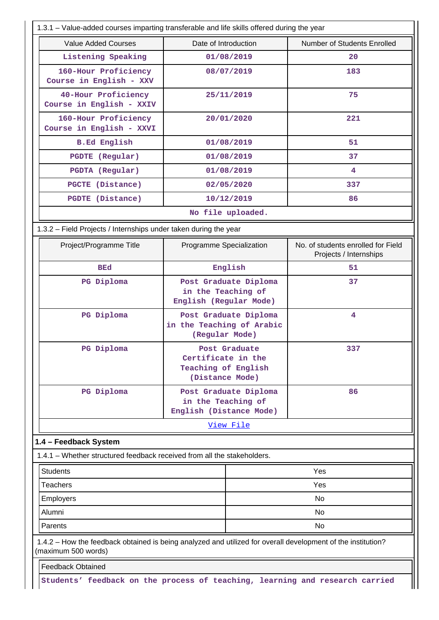| 1.3.1 - Value-added courses imparting transferable and life skills offered during the year                                          |                                                                               |                       |                                                              |  |  |
|-------------------------------------------------------------------------------------------------------------------------------------|-------------------------------------------------------------------------------|-----------------------|--------------------------------------------------------------|--|--|
| <b>Value Added Courses</b>                                                                                                          | Date of Introduction                                                          |                       | Number of Students Enrolled                                  |  |  |
| Listening Speaking                                                                                                                  |                                                                               | 01/08/2019            | 20                                                           |  |  |
| 160-Hour Proficiency<br>Course in English - XXV                                                                                     | 08/07/2019                                                                    |                       | 183                                                          |  |  |
| 40-Hour Proficiency<br>Course in English - XXIV                                                                                     |                                                                               | 25/11/2019            | 75                                                           |  |  |
| 160-Hour Proficiency<br>Course in English - XXVI                                                                                    | 20/01/2020                                                                    |                       | 221                                                          |  |  |
| <b>B.Ed English</b>                                                                                                                 |                                                                               | 01/08/2019            | 51                                                           |  |  |
| <b>PGDTE</b> (Regular)                                                                                                              |                                                                               | 01/08/2019            | 37                                                           |  |  |
| PGDTA (Regular)                                                                                                                     |                                                                               | 01/08/2019            | 4                                                            |  |  |
| PGCTE (Distance)                                                                                                                    |                                                                               | 02/05/2020            | 337                                                          |  |  |
| PGDTE (Distance)                                                                                                                    |                                                                               | 10/12/2019            | 86                                                           |  |  |
|                                                                                                                                     |                                                                               | No file uploaded.     |                                                              |  |  |
| 1.3.2 - Field Projects / Internships under taken during the year                                                                    |                                                                               |                       |                                                              |  |  |
| Project/Programme Title                                                                                                             | Programme Specialization                                                      |                       | No. of students enrolled for Field<br>Projects / Internships |  |  |
| <b>BEd</b>                                                                                                                          |                                                                               | English               | 51                                                           |  |  |
| PG Diploma                                                                                                                          | Post Graduate Diploma<br>in the Teaching of<br>English (Regular Mode)         |                       | 37                                                           |  |  |
| PG Diploma                                                                                                                          | Post Graduate Diploma<br>in the Teaching of Arabic<br>(Regular Mode)          |                       | 4                                                            |  |  |
| PG Diploma                                                                                                                          | Post Graduate<br>Certificate in the<br>Teaching of English<br>(Distance Mode) |                       | 337                                                          |  |  |
| PG Diploma                                                                                                                          | in the Teaching of<br>English (Distance Mode)                                 | Post Graduate Diploma | 86                                                           |  |  |
|                                                                                                                                     |                                                                               | View File             |                                                              |  |  |
| 1.4 - Feedback System                                                                                                               |                                                                               |                       |                                                              |  |  |
| 1.4.1 – Whether structured feedback received from all the stakeholders.                                                             |                                                                               |                       |                                                              |  |  |
| <b>Students</b>                                                                                                                     |                                                                               |                       | Yes                                                          |  |  |
| <b>Teachers</b>                                                                                                                     |                                                                               |                       | Yes                                                          |  |  |
| <b>Employers</b>                                                                                                                    | No                                                                            |                       |                                                              |  |  |
| Alumni                                                                                                                              | No                                                                            |                       |                                                              |  |  |
| Parents                                                                                                                             |                                                                               |                       | No                                                           |  |  |
| 1.4.2 - How the feedback obtained is being analyzed and utilized for overall development of the institution?<br>(maximum 500 words) |                                                                               |                       |                                                              |  |  |
| <b>Feedback Obtained</b>                                                                                                            |                                                                               |                       |                                                              |  |  |
| Students' feedback on the process of teaching, learning and research carried                                                        |                                                                               |                       |                                                              |  |  |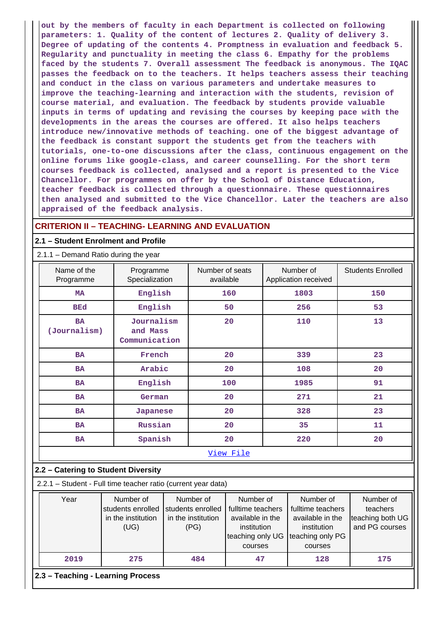**out by the members of faculty in each Department is collected on following parameters: 1. Quality of the content of lectures 2. Quality of delivery 3. Degree of updating of the contents 4. Promptness in evaluation and feedback 5. Regularity and punctuality in meeting the class 6. Empathy for the problems faced by the students 7. Overall assessment The feedback is anonymous. The IQAC passes the feedback on to the teachers. It helps teachers assess their teaching and conduct in the class on various parameters and undertake measures to improve the teaching-learning and interaction with the students, revision of course material, and evaluation. The feedback by students provide valuable inputs in terms of updating and revising the courses by keeping pace with the developments in the areas the courses are offered. It also helps teachers introduce new/innovative methods of teaching. one of the biggest advantage of the feedback is constant support the students get from the teachers with tutorials, one-to-one discussions after the class, continuous engagement on the online forums like google-class, and career counselling. For the short term courses feedback is collected, analysed and a report is presented to the Vice Chancellor. For programmes on offer by the School of Distance Education, teacher feedback is collected through a questionnaire. These questionnaires then analysed and submitted to the Vice Chancellor. Later the teachers are also appraised of the feedback analysis.**

## **CRITERION II – TEACHING- LEARNING AND EVALUATION**

#### **2.1 – Student Enrolment and Profile**

#### 2.1.1 – Demand Ratio during the year

| Name of the<br>Programme  | Programme<br>Specialization             | Number of seats<br>available | Number of<br>Application received | <b>Students Enrolled</b> |
|---------------------------|-----------------------------------------|------------------------------|-----------------------------------|--------------------------|
| <b>MA</b>                 | English                                 | 160                          | 1803                              | 150                      |
| <b>BEd</b>                | English                                 | 50                           | 256                               | 53                       |
| <b>BA</b><br>(Journalism) | Journalism<br>and Mass<br>Communication | 20                           | 110                               | 13                       |
| BA                        | French                                  | 20                           | 339                               | 23                       |
| BA                        | Arabic                                  | 20                           | 108                               | 20                       |
| <b>BA</b>                 | English                                 | 100                          | 1985                              | 91                       |
| <b>BA</b>                 | German                                  | 20                           | 271                               | 21                       |
| BA                        | Japanese                                | 20                           | 328                               | 23                       |
| <b>BA</b>                 | Russian                                 | 20                           | 35                                | 11                       |
| <b>BA</b>                 | Spanish                                 | 20                           | 220                               | 20                       |
|                           |                                         | View File                    |                                   |                          |

#### **2.2 – Catering to Student Diversity**

2.2.1 – Student - Full time teacher ratio (current year data)

| Year | Number of<br>students enrolled<br>in the institution<br>(UG) | Number of<br>students enrolled<br>in the institution<br>(PG) | Number of<br>fulltime teachers<br>available in the<br>institution<br>teaching only UG Iteaching only PG<br>courses | Number of<br>fulltime teachers<br>available in the<br>institution<br>courses | Number of<br>teachers<br>teaching both UG<br>and PG courses |
|------|--------------------------------------------------------------|--------------------------------------------------------------|--------------------------------------------------------------------------------------------------------------------|------------------------------------------------------------------------------|-------------------------------------------------------------|
| 2019 | 275                                                          | 484                                                          | 47                                                                                                                 | 128                                                                          | 175                                                         |

**2.3 – Teaching - Learning Process**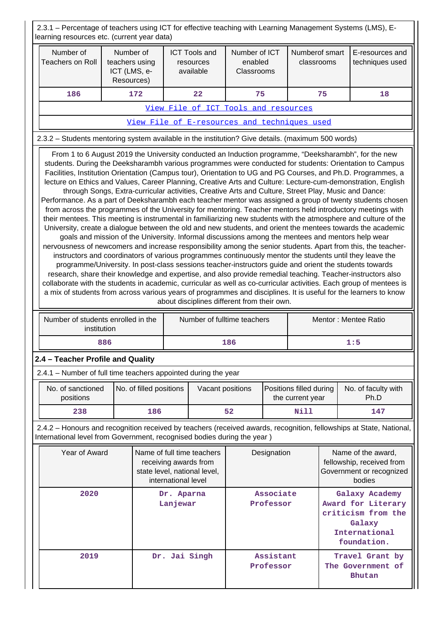2.3.1 – Percentage of teachers using ICT for effective teaching with Learning Management Systems (LMS), Elearning resources etc. (current year data)

| rearring resources etc. (current year data)                                                                                                                                                                                                                                                                                                                                                                                                                                                                                                                                                                                                                                                                                                                                                                                                                                                                                                                                                                                                                                                                                                                                                                                                                                                                                                                                                                                                                                                                                                                                                                                                                                                                                                                                                                                                                                 |                                                           |                         |                                                                                                            |                                                |                                              |             |                                             |                                                                                                      |                                    |
|-----------------------------------------------------------------------------------------------------------------------------------------------------------------------------------------------------------------------------------------------------------------------------------------------------------------------------------------------------------------------------------------------------------------------------------------------------------------------------------------------------------------------------------------------------------------------------------------------------------------------------------------------------------------------------------------------------------------------------------------------------------------------------------------------------------------------------------------------------------------------------------------------------------------------------------------------------------------------------------------------------------------------------------------------------------------------------------------------------------------------------------------------------------------------------------------------------------------------------------------------------------------------------------------------------------------------------------------------------------------------------------------------------------------------------------------------------------------------------------------------------------------------------------------------------------------------------------------------------------------------------------------------------------------------------------------------------------------------------------------------------------------------------------------------------------------------------------------------------------------------------|-----------------------------------------------------------|-------------------------|------------------------------------------------------------------------------------------------------------|------------------------------------------------|----------------------------------------------|-------------|---------------------------------------------|------------------------------------------------------------------------------------------------------|------------------------------------|
| Number of<br><b>Teachers on Roll</b>                                                                                                                                                                                                                                                                                                                                                                                                                                                                                                                                                                                                                                                                                                                                                                                                                                                                                                                                                                                                                                                                                                                                                                                                                                                                                                                                                                                                                                                                                                                                                                                                                                                                                                                                                                                                                                        | Number of<br>teachers using<br>ICT (LMS, e-<br>Resources) |                         |                                                                                                            | <b>ICT Tools and</b><br>resources<br>available | Number of ICT<br>enabled<br>Classrooms       |             | Numberof smart<br>classrooms                |                                                                                                      | E-resources and<br>techniques used |
| 186                                                                                                                                                                                                                                                                                                                                                                                                                                                                                                                                                                                                                                                                                                                                                                                                                                                                                                                                                                                                                                                                                                                                                                                                                                                                                                                                                                                                                                                                                                                                                                                                                                                                                                                                                                                                                                                                         |                                                           | 172                     |                                                                                                            | 22                                             | 75                                           |             |                                             | 75                                                                                                   | 18                                 |
|                                                                                                                                                                                                                                                                                                                                                                                                                                                                                                                                                                                                                                                                                                                                                                                                                                                                                                                                                                                                                                                                                                                                                                                                                                                                                                                                                                                                                                                                                                                                                                                                                                                                                                                                                                                                                                                                             |                                                           |                         |                                                                                                            |                                                | View File of ICT Tools and resources         |             |                                             |                                                                                                      |                                    |
|                                                                                                                                                                                                                                                                                                                                                                                                                                                                                                                                                                                                                                                                                                                                                                                                                                                                                                                                                                                                                                                                                                                                                                                                                                                                                                                                                                                                                                                                                                                                                                                                                                                                                                                                                                                                                                                                             |                                                           |                         |                                                                                                            |                                                | View File of E-resources and techniques used |             |                                             |                                                                                                      |                                    |
| 2.3.2 - Students mentoring system available in the institution? Give details. (maximum 500 words)                                                                                                                                                                                                                                                                                                                                                                                                                                                                                                                                                                                                                                                                                                                                                                                                                                                                                                                                                                                                                                                                                                                                                                                                                                                                                                                                                                                                                                                                                                                                                                                                                                                                                                                                                                           |                                                           |                         |                                                                                                            |                                                |                                              |             |                                             |                                                                                                      |                                    |
| From 1 to 6 August 2019 the University conducted an Induction programme, "Deeksharambh", for the new<br>students. During the Deeksharambh various programmes were conducted for students: Orientation to Campus<br>Facilities, Institution Orientation (Campus tour), Orientation to UG and PG Courses, and Ph.D. Programmes, a<br>lecture on Ethics and Values, Career Planning, Creative Arts and Culture: Lecture-cum-demonstration, English<br>through Songs, Extra-curricular activities, Creative Arts and Culture, Street Play, Music and Dance:<br>Performance. As a part of Deeksharambh each teacher mentor was assigned a group of twenty students chosen<br>from across the programmes of the University for mentoring. Teacher mentors held introductory meetings with<br>their mentees. This meeting is instrumental in familiarizing new students with the atmosphere and culture of the<br>University, create a dialogue between the old and new students, and orient the mentees towards the academic<br>goals and mission of the University. Informal discussions among the mentees and mentors help wear<br>nervousness of newcomers and increase responsibility among the senior students. Apart from this, the teacher-<br>instructors and coordinators of various programmes continuously mentor the students until they leave the<br>programme/University. In post-class sessions teacher-instructors guide and orient the students towards<br>research, share their knowledge and expertise, and also provide remedial teaching. Teacher-instructors also<br>collaborate with the students in academic, curricular as well as co-curricular activities. Each group of mentees is<br>a mix of students from across various years of programmes and disciplines. It is useful for the learners to know<br>about disciplines different from their own. |                                                           |                         |                                                                                                            |                                                |                                              |             |                                             |                                                                                                      |                                    |
| Number of students enrolled in the                                                                                                                                                                                                                                                                                                                                                                                                                                                                                                                                                                                                                                                                                                                                                                                                                                                                                                                                                                                                                                                                                                                                                                                                                                                                                                                                                                                                                                                                                                                                                                                                                                                                                                                                                                                                                                          | institution                                               |                         |                                                                                                            |                                                | Number of fulltime teachers                  |             |                                             |                                                                                                      | Mentor: Mentee Ratio               |
|                                                                                                                                                                                                                                                                                                                                                                                                                                                                                                                                                                                                                                                                                                                                                                                                                                                                                                                                                                                                                                                                                                                                                                                                                                                                                                                                                                                                                                                                                                                                                                                                                                                                                                                                                                                                                                                                             | 886                                                       |                         |                                                                                                            |                                                | 186                                          |             |                                             |                                                                                                      | 1:5                                |
| 2.4 - Teacher Profile and Quality                                                                                                                                                                                                                                                                                                                                                                                                                                                                                                                                                                                                                                                                                                                                                                                                                                                                                                                                                                                                                                                                                                                                                                                                                                                                                                                                                                                                                                                                                                                                                                                                                                                                                                                                                                                                                                           |                                                           |                         |                                                                                                            |                                                |                                              |             |                                             |                                                                                                      |                                    |
| 2.4.1 - Number of full time teachers appointed during the year                                                                                                                                                                                                                                                                                                                                                                                                                                                                                                                                                                                                                                                                                                                                                                                                                                                                                                                                                                                                                                                                                                                                                                                                                                                                                                                                                                                                                                                                                                                                                                                                                                                                                                                                                                                                              |                                                           |                         |                                                                                                            |                                                |                                              |             |                                             |                                                                                                      |                                    |
| No. of sanctioned<br>positions                                                                                                                                                                                                                                                                                                                                                                                                                                                                                                                                                                                                                                                                                                                                                                                                                                                                                                                                                                                                                                                                                                                                                                                                                                                                                                                                                                                                                                                                                                                                                                                                                                                                                                                                                                                                                                              |                                                           | No. of filled positions |                                                                                                            | Vacant positions                               |                                              |             | Positions filled during<br>the current year |                                                                                                      | No. of faculty with<br>Ph.D        |
| 238                                                                                                                                                                                                                                                                                                                                                                                                                                                                                                                                                                                                                                                                                                                                                                                                                                                                                                                                                                                                                                                                                                                                                                                                                                                                                                                                                                                                                                                                                                                                                                                                                                                                                                                                                                                                                                                                         |                                                           | 186                     |                                                                                                            |                                                | 52                                           |             | Nill                                        |                                                                                                      | 147                                |
| 2.4.2 - Honours and recognition received by teachers (received awards, recognition, fellowships at State, National,<br>International level from Government, recognised bodies during the year)                                                                                                                                                                                                                                                                                                                                                                                                                                                                                                                                                                                                                                                                                                                                                                                                                                                                                                                                                                                                                                                                                                                                                                                                                                                                                                                                                                                                                                                                                                                                                                                                                                                                              |                                                           |                         |                                                                                                            |                                                |                                              |             |                                             |                                                                                                      |                                    |
| Year of Award                                                                                                                                                                                                                                                                                                                                                                                                                                                                                                                                                                                                                                                                                                                                                                                                                                                                                                                                                                                                                                                                                                                                                                                                                                                                                                                                                                                                                                                                                                                                                                                                                                                                                                                                                                                                                                                               |                                                           |                         | Name of full time teachers<br>receiving awards from<br>state level, national level,<br>international level |                                                |                                              | Designation |                                             | Name of the award,<br>fellowship, received from<br>Government or recognized<br>bodies                |                                    |
| 2020                                                                                                                                                                                                                                                                                                                                                                                                                                                                                                                                                                                                                                                                                                                                                                                                                                                                                                                                                                                                                                                                                                                                                                                                                                                                                                                                                                                                                                                                                                                                                                                                                                                                                                                                                                                                                                                                        |                                                           |                         | Dr. Aparna<br>Lanjewar                                                                                     |                                                | Associate<br>Professor                       |             |                                             | Galaxy Academy<br>Award for Literary<br>criticism from the<br>Galaxy<br>International<br>foundation. |                                    |
| 2019                                                                                                                                                                                                                                                                                                                                                                                                                                                                                                                                                                                                                                                                                                                                                                                                                                                                                                                                                                                                                                                                                                                                                                                                                                                                                                                                                                                                                                                                                                                                                                                                                                                                                                                                                                                                                                                                        |                                                           |                         |                                                                                                            | Dr. Jai Singh                                  | Assistant<br>Professor                       |             |                                             | Travel Grant by<br>The Government of<br>Bhutan                                                       |                                    |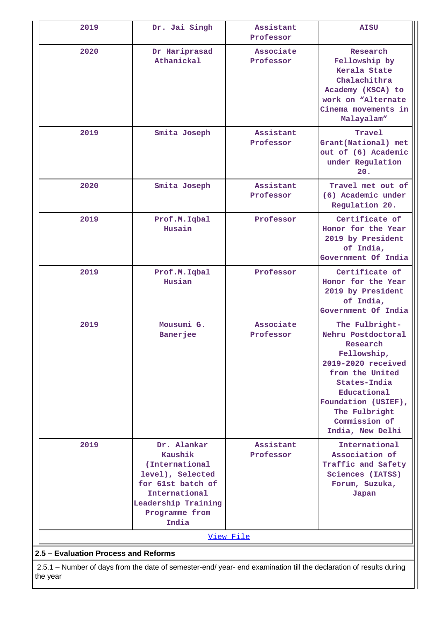| 2019                                                                                                                           | Dr. Jai Singh                                                                                                                                        | Assistant<br>Professor | <b>AISU</b>                                                                                                                                                                                                          |  |  |  |  |
|--------------------------------------------------------------------------------------------------------------------------------|------------------------------------------------------------------------------------------------------------------------------------------------------|------------------------|----------------------------------------------------------------------------------------------------------------------------------------------------------------------------------------------------------------------|--|--|--|--|
| 2020                                                                                                                           | Dr Hariprasad<br>Athanickal                                                                                                                          | Associate<br>Professor | Research<br>Fellowship by<br>Kerala State<br>Chalachithra<br>Academy (KSCA) to<br>work on "Alternate<br>Cinema movements in<br>Malayalam"                                                                            |  |  |  |  |
| 2019                                                                                                                           | Smita Joseph                                                                                                                                         | Assistant<br>Professor | Travel<br>Grant (National) met<br>out of (6) Academic<br>under Regulation<br>20.                                                                                                                                     |  |  |  |  |
| 2020                                                                                                                           | Smita Joseph                                                                                                                                         | Assistant<br>Professor | Travel met out of<br>(6) Academic under<br>Regulation 20.                                                                                                                                                            |  |  |  |  |
| 2019                                                                                                                           | Prof.M.Iqbal<br>Husain                                                                                                                               | Professor              | Certificate of<br>Honor for the Year<br>2019 by President<br>of India,<br>Government Of India                                                                                                                        |  |  |  |  |
| 2019                                                                                                                           | Prof.M.Iqbal<br>Husian                                                                                                                               | Professor              | Certificate of<br>Honor for the Year<br>2019 by President<br>of India,<br>Government Of India                                                                                                                        |  |  |  |  |
| 2019                                                                                                                           | Mousumi G.<br><b>Banerjee</b>                                                                                                                        | Associate<br>Professor | The Fulbright-<br>Nehru Postdoctoral<br>Research<br>Fellowship,<br>2019-2020 received<br>from the United<br>States-India<br>Educational<br>Foundation (USIEF),<br>The Fulbright<br>Commission of<br>India, New Delhi |  |  |  |  |
| 2019                                                                                                                           | Dr. Alankar<br>Kaushik<br>(International<br>level), Selected<br>for 61st batch of<br>International<br>Leadership Training<br>Programme from<br>India | Assistant<br>Professor | International<br>Association of<br>Traffic and Safety<br>Sciences (IATSS)<br>Forum, Suzuka,<br>Japan                                                                                                                 |  |  |  |  |
|                                                                                                                                |                                                                                                                                                      | View File              |                                                                                                                                                                                                                      |  |  |  |  |
| 2.5 - Evaluation Process and Reforms                                                                                           |                                                                                                                                                      |                        |                                                                                                                                                                                                                      |  |  |  |  |
| 2.5.1 – Number of days from the date of semester-end/ year- end examination till the declaration of results during<br>the year |                                                                                                                                                      |                        |                                                                                                                                                                                                                      |  |  |  |  |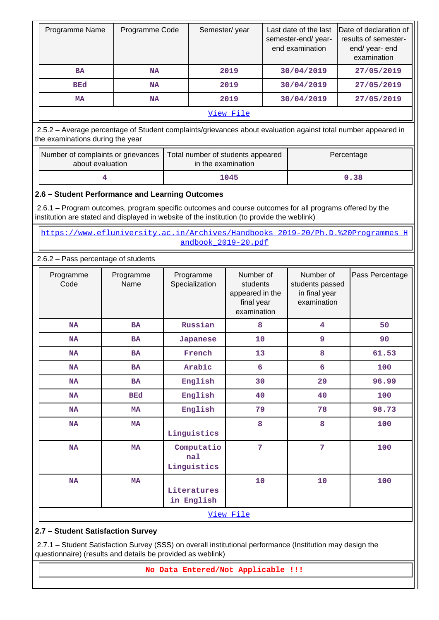| Programme Name                                                                                                                                                                                         | Programme Code                                                                                                                                                            |                                  | Semester/year             |                                                                       | Last date of the last<br>semester-end/year-<br>end examination |                                                              | Date of declaration of<br>results of semester-<br>end/ year- end<br>examination |                 |
|--------------------------------------------------------------------------------------------------------------------------------------------------------------------------------------------------------|---------------------------------------------------------------------------------------------------------------------------------------------------------------------------|----------------------------------|---------------------------|-----------------------------------------------------------------------|----------------------------------------------------------------|--------------------------------------------------------------|---------------------------------------------------------------------------------|-----------------|
| <b>BA</b>                                                                                                                                                                                              | <b>NA</b>                                                                                                                                                                 |                                  |                           | 2019                                                                  |                                                                | 30/04/2019                                                   |                                                                                 | 27/05/2019      |
| <b>BEd</b>                                                                                                                                                                                             | NA                                                                                                                                                                        |                                  |                           | 2019                                                                  |                                                                | 30/04/2019                                                   |                                                                                 | 27/05/2019      |
| <b>MA</b>                                                                                                                                                                                              | <b>NA</b>                                                                                                                                                                 |                                  |                           | 2019                                                                  |                                                                | 30/04/2019                                                   |                                                                                 | 27/05/2019      |
|                                                                                                                                                                                                        |                                                                                                                                                                           |                                  |                           | View File                                                             |                                                                |                                                              |                                                                                 |                 |
| 2.5.2 - Average percentage of Student complaints/grievances about evaluation against total number appeared in<br>the examinations during the year                                                      |                                                                                                                                                                           |                                  |                           |                                                                       |                                                                |                                                              |                                                                                 |                 |
| Number of complaints or grievances<br>about evaluation                                                                                                                                                 |                                                                                                                                                                           |                                  |                           | Total number of students appeared<br>in the examination               |                                                                |                                                              |                                                                                 | Percentage      |
|                                                                                                                                                                                                        | 4                                                                                                                                                                         |                                  |                           | 1045                                                                  |                                                                |                                                              |                                                                                 | 0.38            |
| 2.6 - Student Performance and Learning Outcomes                                                                                                                                                        |                                                                                                                                                                           |                                  |                           |                                                                       |                                                                |                                                              |                                                                                 |                 |
| 2.6.1 – Program outcomes, program specific outcomes and course outcomes for all programs offered by the<br>institution are stated and displayed in website of the institution (to provide the weblink) |                                                                                                                                                                           |                                  |                           |                                                                       |                                                                |                                                              |                                                                                 |                 |
|                                                                                                                                                                                                        | https://www.efluniversity.ac.in/Archives/Handbooks 2019-20/Ph.D.%20Programmes H                                                                                           |                                  |                           | andbook 2019-20.pdf                                                   |                                                                |                                                              |                                                                                 |                 |
| 2.6.2 - Pass percentage of students                                                                                                                                                                    |                                                                                                                                                                           |                                  |                           |                                                                       |                                                                |                                                              |                                                                                 |                 |
| Programme<br>Code                                                                                                                                                                                      | Programme<br>Name                                                                                                                                                         | Programme<br>Specialization      |                           | Number of<br>students<br>appeared in the<br>final year<br>examination |                                                                | Number of<br>students passed<br>in final year<br>examination |                                                                                 | Pass Percentage |
| <b>NA</b>                                                                                                                                                                                              | <b>BA</b>                                                                                                                                                                 | Russian                          |                           | 8                                                                     |                                                                | 4                                                            |                                                                                 | 50              |
| <b>NA</b>                                                                                                                                                                                              | <b>BA</b>                                                                                                                                                                 | Japanese                         |                           | 10                                                                    |                                                                | 9                                                            |                                                                                 | 90              |
| <b>NA</b>                                                                                                                                                                                              | <b>BA</b>                                                                                                                                                                 | French                           |                           | 13                                                                    |                                                                | 8                                                            |                                                                                 | 61.53           |
| <b>NA</b>                                                                                                                                                                                              | <b>BA</b>                                                                                                                                                                 | Arabic                           |                           | 6                                                                     |                                                                | 6                                                            |                                                                                 | 100             |
| <b>NA</b>                                                                                                                                                                                              | <b>BA</b>                                                                                                                                                                 | English                          |                           | 30                                                                    |                                                                | 29                                                           |                                                                                 | 96.99           |
| <b>NA</b>                                                                                                                                                                                              | <b>BEd</b>                                                                                                                                                                | English                          |                           | 40                                                                    |                                                                | 40                                                           |                                                                                 | 100             |
| <b>NA</b>                                                                                                                                                                                              | <b>MA</b>                                                                                                                                                                 | English                          |                           | 79                                                                    |                                                                | 78                                                           |                                                                                 | 98.73           |
| <b>NA</b>                                                                                                                                                                                              | <b>MA</b>                                                                                                                                                                 | Linguistics                      |                           | 8                                                                     |                                                                | 8                                                            |                                                                                 | 100             |
| <b>NA</b>                                                                                                                                                                                              | MA                                                                                                                                                                        | Computatio<br>nal<br>Linguistics |                           | $\overline{7}$                                                        |                                                                | $7\overline{ }$                                              |                                                                                 | 100             |
| NA                                                                                                                                                                                                     | <b>MA</b>                                                                                                                                                                 |                                  | Literatures<br>in English |                                                                       | 10                                                             | 10                                                           |                                                                                 | 100             |
|                                                                                                                                                                                                        |                                                                                                                                                                           |                                  |                           | View File                                                             |                                                                |                                                              |                                                                                 |                 |
| 2.7 - Student Satisfaction Survey                                                                                                                                                                      |                                                                                                                                                                           |                                  |                           |                                                                       |                                                                |                                                              |                                                                                 |                 |
|                                                                                                                                                                                                        | 2.7.1 - Student Satisfaction Survey (SSS) on overall institutional performance (Institution may design the<br>questionnaire) (results and details be provided as weblink) |                                  |                           |                                                                       |                                                                |                                                              |                                                                                 |                 |
|                                                                                                                                                                                                        |                                                                                                                                                                           |                                  |                           | No Data Entered/Not Applicable !!!                                    |                                                                |                                                              |                                                                                 |                 |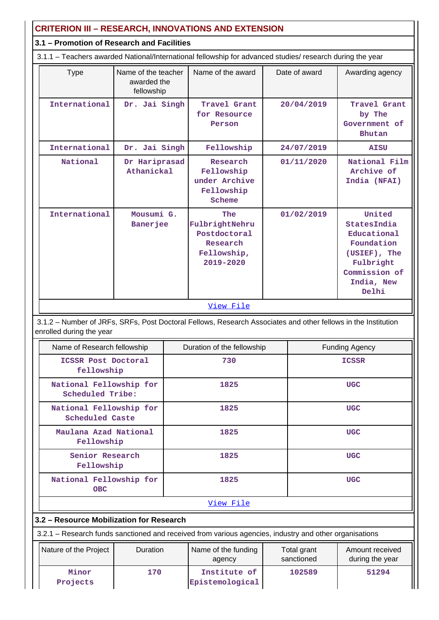| <b>CRITERION III - RESEARCH, INNOVATIONS AND EXTENSION</b> |                                                  |  |                                                                                                               |            |                           |                                                                                                                                 |  |
|------------------------------------------------------------|--------------------------------------------------|--|---------------------------------------------------------------------------------------------------------------|------------|---------------------------|---------------------------------------------------------------------------------------------------------------------------------|--|
| 3.1 - Promotion of Research and Facilities                 |                                                  |  |                                                                                                               |            |                           |                                                                                                                                 |  |
|                                                            |                                                  |  | 3.1.1 - Teachers awarded National/International fellowship for advanced studies/ research during the year     |            |                           |                                                                                                                                 |  |
| <b>Type</b>                                                | Name of the teacher<br>awarded the<br>fellowship |  | Name of the award                                                                                             |            | Date of award             | Awarding agency                                                                                                                 |  |
| International                                              | Dr. Jai Singh                                    |  | Travel Grant<br>for Resource<br>Person                                                                        |            | 20/04/2019                | Travel Grant<br>by The<br>Government of<br><b>Bhutan</b>                                                                        |  |
| International                                              | Dr. Jai Singh                                    |  | Fellowship                                                                                                    |            | 24/07/2019                | <b>AISU</b>                                                                                                                     |  |
| National                                                   | Dr Hariprasad<br>Athanickal                      |  | Research<br>Fellowship<br>under Archive<br>Fellowship<br>Scheme                                               |            | 01/11/2020                | National Film<br>Archive of<br>India (NFAI)                                                                                     |  |
| International                                              | Mousumi G.<br>Banerjee                           |  | The<br>Fulbright Nehru<br>Postdoctoral<br>Research<br>Fellowship,<br>2019-2020                                | 01/02/2019 |                           | United<br><b>States India</b><br>Educational<br>Foundation<br>(USIEF), The<br>Fulbright<br>Commission of<br>India, New<br>Delhi |  |
|                                                            |                                                  |  | View File                                                                                                     |            |                           |                                                                                                                                 |  |
| enrolled during the year                                   |                                                  |  | 3.1.2 - Number of JRFs, SRFs, Post Doctoral Fellows, Research Associates and other fellows in the Institution |            |                           |                                                                                                                                 |  |
| Name of Research fellowship                                |                                                  |  | Duration of the fellowship                                                                                    |            |                           | <b>Funding Agency</b>                                                                                                           |  |
| ICSSR Post Doctoral<br>fellowship                          |                                                  |  | 730                                                                                                           |            | <b>ICSSR</b>              |                                                                                                                                 |  |
| National Fellowship for<br>Scheduled Tribe:                |                                                  |  | 1825                                                                                                          |            |                           | <b>UGC</b>                                                                                                                      |  |
| National Fellowship for<br><b>Scheduled Caste</b>          |                                                  |  | 1825                                                                                                          |            |                           | <b>UGC</b>                                                                                                                      |  |
| Maulana Azad National<br>Fellowship                        |                                                  |  | 1825                                                                                                          |            |                           | <b>UGC</b>                                                                                                                      |  |
| Senior Research<br>Fellowship                              |                                                  |  | 1825                                                                                                          |            |                           | <b>UGC</b>                                                                                                                      |  |
| National Fellowship for<br><b>OBC</b>                      |                                                  |  | 1825                                                                                                          |            |                           | <b>UGC</b>                                                                                                                      |  |
| View File                                                  |                                                  |  |                                                                                                               |            |                           |                                                                                                                                 |  |
| 3.2 - Resource Mobilization for Research                   |                                                  |  |                                                                                                               |            |                           |                                                                                                                                 |  |
|                                                            |                                                  |  | 3.2.1 - Research funds sanctioned and received from various agencies, industry and other organisations        |            |                           |                                                                                                                                 |  |
| Nature of the Project                                      | Duration                                         |  | Name of the funding<br>agency                                                                                 |            | Total grant<br>sanctioned | Amount received<br>during the year                                                                                              |  |
| Minor<br>Projects                                          | 170                                              |  | Institute of<br>Epistemological                                                                               |            | 102589                    | 51294                                                                                                                           |  |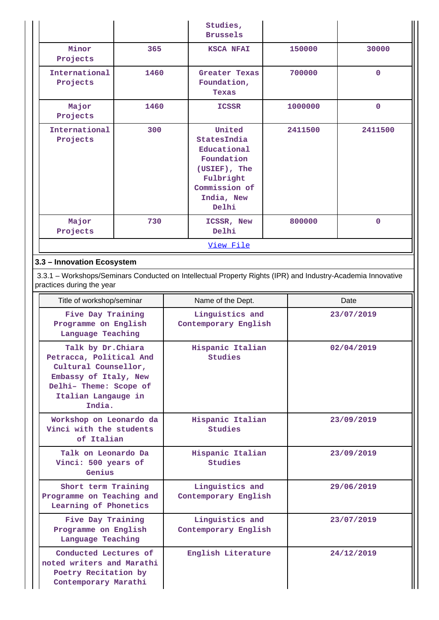|                           |      | Studies,<br><b>Brussels</b>                                                                                                     |         |              |
|---------------------------|------|---------------------------------------------------------------------------------------------------------------------------------|---------|--------------|
| Minor<br>Projects         | 365  | <b>KSCA NFAI</b>                                                                                                                | 150000  | 30000        |
| International<br>Projects | 1460 | Greater Texas<br>Foundation,<br>Texas                                                                                           | 700000  | $\mathbf{0}$ |
| Major<br>Projects         | 1460 | <b>ICSSR</b>                                                                                                                    | 1000000 | $\mathbf{0}$ |
| International<br>Projects | 300  | United<br><b>States India</b><br>Educational<br>Foundation<br>(USIEF), The<br>Fulbright<br>Commission of<br>India, New<br>Delhi | 2411500 | 2411500      |
| Major<br>Projects         | 730  | ICSSR, New<br>Delhi                                                                                                             | 800000  | $\mathbf{0}$ |
|                           |      | View File                                                                                                                       |         |              |

## **3.3 – Innovation Ecosystem**

 3.3.1 – Workshops/Seminars Conducted on Intellectual Property Rights (IPR) and Industry-Academia Innovative practices during the year

| Title of workshop/seminar                                                                                                                                 | Name of the Dept.                       | Date       |
|-----------------------------------------------------------------------------------------------------------------------------------------------------------|-----------------------------------------|------------|
| Five Day Training<br>Programme on English<br>Language Teaching                                                                                            | Linguistics and<br>Contemporary English | 23/07/2019 |
| Talk by Dr. Chiara<br>Petracca, Political And<br>Cultural Counsellor,<br>Embassy of Italy, New<br>Delhi- Theme: Scope of<br>Italian Langauge in<br>India. | Hispanic Italian<br>Studies             | 02/04/2019 |
| Workshop on Leonardo da<br>Vinci with the students<br>of Italian                                                                                          | Hispanic Italian<br>Studies             | 23/09/2019 |
| Talk on Leonardo Da<br>Vinci: 500 years of<br>Genius                                                                                                      | Hispanic Italian<br>Studies             | 23/09/2019 |
| Short term Training<br>Programme on Teaching and<br>Learning of Phonetics                                                                                 | Linguistics and<br>Contemporary English | 29/06/2019 |
| Five Day Training<br>Programme on English<br>Language Teaching                                                                                            | Linguistics and<br>Contemporary English | 23/07/2019 |
| Conducted Lectures of<br>noted writers and Marathi<br>Poetry Recitation by<br>Contemporary Marathi                                                        | English Literature                      | 24/12/2019 |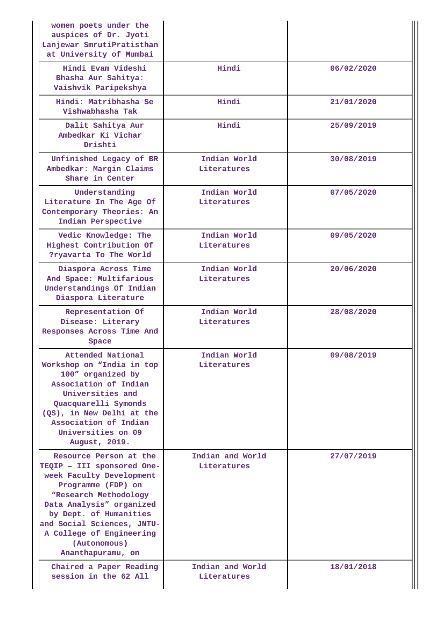| women poets under the<br>auspices of Dr. Jyoti<br>Lanjewar SmrutiPratisthan<br>at University of Mumbai                                                                                                                                                                               |                                 |            |
|--------------------------------------------------------------------------------------------------------------------------------------------------------------------------------------------------------------------------------------------------------------------------------------|---------------------------------|------------|
| Hindi Evam Videshi<br>Bhasha Aur Sahitya:<br>Vaishvik Paripekshya                                                                                                                                                                                                                    | Hindi                           | 06/02/2020 |
| Hindi: Matribhasha Se<br>Vishwabhasha Tak                                                                                                                                                                                                                                            | Hindi                           | 21/01/2020 |
| Dalit Sahitya Aur<br>Ambedkar Ki Vichar<br>Drishti                                                                                                                                                                                                                                   | Hindi                           | 25/09/2019 |
| Unfinished Legacy of BR<br>Ambedkar: Margin Claims<br>Share in Center                                                                                                                                                                                                                | Indian World<br>Literatures     | 30/08/2019 |
| Understanding<br>Literature In The Age Of<br>Contemporary Theories: An<br>Indian Perspective                                                                                                                                                                                         | Indian World<br>Literatures     | 07/05/2020 |
| Vedic Knowledge: The<br>Highest Contribution Of<br>?ryavarta To The World                                                                                                                                                                                                            | Indian World<br>Literatures     | 09/05/2020 |
| Diaspora Across Time<br>And Space: Multifarious<br>Understandings Of Indian<br>Diaspora Literature                                                                                                                                                                                   | Indian World<br>Literatures     | 20/06/2020 |
| Representation Of<br>Disease: Literary<br>Responses Across Time And<br>Space                                                                                                                                                                                                         | Indian World<br>Literatures     | 28/08/2020 |
| Attended National<br>Workshop on "India in top<br>100" organized by<br>Association of Indian<br>Universities and<br>Quacquarelli Symonds<br>(QS), in New Delhi at the<br>Association of Indian<br>Universities on 09<br>August, 2019.                                                | Indian World<br>Literatures     | 09/08/2019 |
| Resource Person at the<br>TEQIP - III sponsored One-<br>week Faculty Development<br>Programme (FDP) on<br>"Research Methodology<br>Data Analysis" organized<br>by Dept. of Humanities<br>and Social Sciences, JNTU-<br>A College of Engineering<br>(Autonomous)<br>Ananthapuramu, on | Indian and World<br>Literatures | 27/07/2019 |
| Chaired a Paper Reading<br>session in the 62 All                                                                                                                                                                                                                                     | Indian and World<br>Literatures | 18/01/2018 |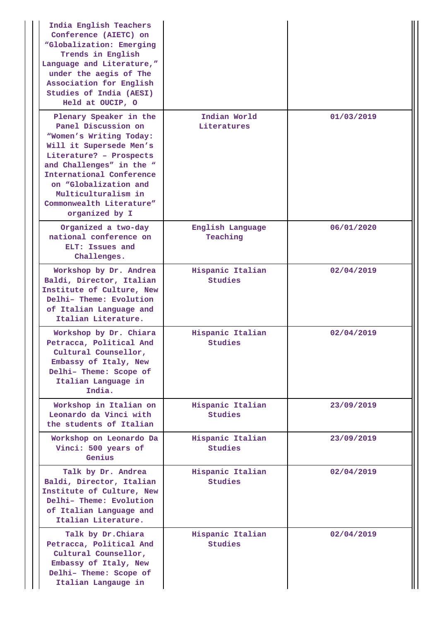| India English Teachers<br>Conference (AIETC) on<br>"Globalization: Emerging<br>Trends in English<br>Language and Literature,"<br>under the aegis of The<br>Association for English<br>Studies of India (AESI)<br>Held at OUCIP, O                                                    |                                    |            |
|--------------------------------------------------------------------------------------------------------------------------------------------------------------------------------------------------------------------------------------------------------------------------------------|------------------------------------|------------|
| Plenary Speaker in the<br>Panel Discussion on<br>"Women's Writing Today:<br>Will it Supersede Men's<br>Literature? - Prospects<br>and Challenges" in the "<br>International Conference<br>on "Globalization and<br>Multiculturalism in<br>Commonwealth Literature"<br>organized by I | Indian World<br>Literatures        | 01/03/2019 |
| Organized a two-day<br>national conference on<br>ELT: Issues and<br>Challenges.                                                                                                                                                                                                      | English Language<br>Teaching       | 06/01/2020 |
| Workshop by Dr. Andrea<br>Baldi, Director, Italian<br>Institute of Culture, New<br>Delhi- Theme: Evolution<br>of Italian Language and<br>Italian Literature.                                                                                                                         | Hispanic Italian<br>Studies        | 02/04/2019 |
| Workshop by Dr. Chiara<br>Petracca, Political And<br>Cultural Counsellor,<br>Embassy of Italy, New<br>Delhi- Theme: Scope of<br>Italian Language in<br>India.                                                                                                                        | Hispanic Italian<br>Studies        | 02/04/2019 |
| Workshop in Italian on<br>Leonardo da Vinci with<br>the students of Italian                                                                                                                                                                                                          | Hispanic Italian<br><b>Studies</b> | 23/09/2019 |
| Workshop on Leonardo Da<br>Vinci: 500 years of<br>Genius                                                                                                                                                                                                                             | Hispanic Italian<br>Studies        | 23/09/2019 |
| Talk by Dr. Andrea<br>Baldi, Director, Italian<br>Institute of Culture, New<br>Delhi-Theme: Evolution<br>of Italian Language and<br>Italian Literature.                                                                                                                              | Hispanic Italian<br><b>Studies</b> | 02/04/2019 |
| Talk by Dr. Chiara<br>Petracca, Political And<br>Cultural Counsellor,<br>Embassy of Italy, New<br>Delhi- Theme: Scope of<br>Italian Langauge in                                                                                                                                      | Hispanic Italian<br><b>Studies</b> | 02/04/2019 |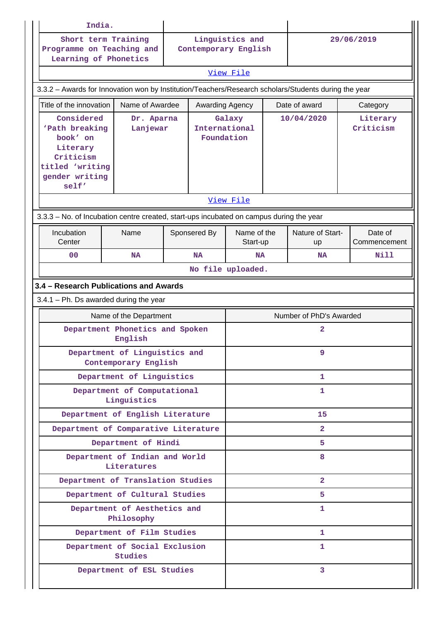| India.                                                                                                          |                                                           |  |                      |                                       |  |                               |  |                         |
|-----------------------------------------------------------------------------------------------------------------|-----------------------------------------------------------|--|----------------------|---------------------------------------|--|-------------------------------|--|-------------------------|
| Programme on Teaching and<br>Learning of Phonetics                                                              | Short term Training                                       |  | Contemporary English | Linguistics and                       |  | 29/06/2019                    |  |                         |
|                                                                                                                 |                                                           |  |                      | View File                             |  |                               |  |                         |
| 3.3.2 - Awards for Innovation won by Institution/Teachers/Research scholars/Students during the year            |                                                           |  |                      |                                       |  |                               |  |                         |
| Title of the innovation                                                                                         | Name of Awardee                                           |  | Awarding Agency      |                                       |  | Date of award                 |  | Category                |
| Considered<br>'Path breaking<br>book' on<br>Literary<br>Criticism<br>titled 'writing<br>gender writing<br>self' | Dr. Aparna<br>Lanjewar                                    |  |                      | Galaxy<br>International<br>Foundation |  | 10/04/2020                    |  | Literary<br>Criticism   |
|                                                                                                                 |                                                           |  |                      | View File                             |  |                               |  |                         |
| 3.3.3 - No. of Incubation centre created, start-ups incubated on campus during the year                         |                                                           |  |                      |                                       |  |                               |  |                         |
| Incubation<br>Center                                                                                            | Name                                                      |  | Sponsered By         | Name of the<br>Start-up               |  | Nature of Start-<br><b>up</b> |  | Date of<br>Commencement |
| 0 <sub>0</sub>                                                                                                  | <b>NA</b>                                                 |  | <b>NA</b>            | <b>NA</b>                             |  | <b>NA</b>                     |  | Nill                    |
|                                                                                                                 |                                                           |  | No file uploaded.    |                                       |  |                               |  |                         |
| 3.4 - Research Publications and Awards                                                                          |                                                           |  |                      |                                       |  |                               |  |                         |
| $3.4.1$ – Ph. Ds awarded during the year                                                                        |                                                           |  |                      |                                       |  |                               |  |                         |
|                                                                                                                 | Name of the Department<br>Department Phonetics and Spoken |  |                      |                                       |  | Number of PhD's Awarded<br>2  |  |                         |
|                                                                                                                 | English                                                   |  |                      |                                       |  |                               |  |                         |
|                                                                                                                 | Department of Linguistics and<br>Contemporary English     |  |                      | 9                                     |  |                               |  |                         |
|                                                                                                                 | Department of Linguistics                                 |  |                      |                                       |  | 1                             |  |                         |
|                                                                                                                 | Department of Computational<br>Linguistics                |  |                      | 1                                     |  |                               |  |                         |
|                                                                                                                 | Department of English Literature                          |  |                      | 15                                    |  |                               |  |                         |
|                                                                                                                 | Department of Comparative Literature                      |  |                      | $\overline{2}$                        |  |                               |  |                         |
|                                                                                                                 | Department of Hindi                                       |  |                      | 5                                     |  |                               |  |                         |
|                                                                                                                 | Department of Indian and World<br>Literatures             |  |                      | 8                                     |  |                               |  |                         |
|                                                                                                                 | Department of Translation Studies                         |  |                      |                                       |  | $\overline{2}$                |  |                         |
|                                                                                                                 | Department of Cultural Studies                            |  |                      |                                       |  | 5.                            |  |                         |
|                                                                                                                 | Department of Aesthetics and<br>Philosophy                |  |                      |                                       |  | 1                             |  |                         |
|                                                                                                                 | Department of Film Studies                                |  |                      |                                       |  | 1                             |  |                         |
|                                                                                                                 | Department of Social Exclusion<br><b>Studies</b>          |  |                      |                                       |  | 1                             |  |                         |
|                                                                                                                 | Department of ESL Studies                                 |  |                      |                                       |  | $\overline{3}$                |  |                         |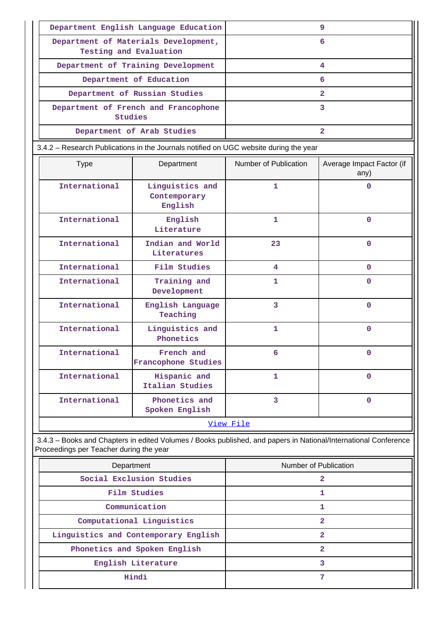|                                                                                                                                                            | Department English Language Education      |                              | 9                                 |  |  |
|------------------------------------------------------------------------------------------------------------------------------------------------------------|--------------------------------------------|------------------------------|-----------------------------------|--|--|
| Testing and Evaluation                                                                                                                                     | Department of Materials Development,       |                              | 6                                 |  |  |
|                                                                                                                                                            | Department of Training Development         |                              | 4                                 |  |  |
|                                                                                                                                                            | Department of Education                    |                              | 6                                 |  |  |
|                                                                                                                                                            | Department of Russian Studies              |                              | $\overline{2}$                    |  |  |
| Studies                                                                                                                                                    | Department of French and Francophone       |                              | 3                                 |  |  |
|                                                                                                                                                            | Department of Arab Studies                 |                              | $\overline{a}$                    |  |  |
| 3.4.2 - Research Publications in the Journals notified on UGC website during the year                                                                      |                                            |                              |                                   |  |  |
| <b>Type</b>                                                                                                                                                | Department                                 | Number of Publication        | Average Impact Factor (if<br>any) |  |  |
| International                                                                                                                                              | Linguistics and<br>Contemporary<br>English | $\mathbf{1}$                 | $\Omega$                          |  |  |
| International                                                                                                                                              | English<br>Literature                      | $\mathbf{1}$<br>$\mathbf{0}$ |                                   |  |  |
| International                                                                                                                                              | Indian and World<br>Literatures            | 23<br>$\Omega$               |                                   |  |  |
| International                                                                                                                                              | Film Studies                               | 4<br>$\mathbf{0}$            |                                   |  |  |
| International                                                                                                                                              | Training and<br>Development                | 1<br>$\mathbf{0}$            |                                   |  |  |
| International                                                                                                                                              | English Language<br>Teaching               | $\overline{3}$               | $\Omega$                          |  |  |
| International                                                                                                                                              | Linguistics and<br>Phonetics               | $\mathbf{1}$                 | $\Omega$                          |  |  |
| International                                                                                                                                              | French and<br>Francophone Studies          | 6                            | $\mathbf 0$                       |  |  |
| International                                                                                                                                              | Hispanic and<br>Italian Studies            | 1                            | $\mathbf 0$                       |  |  |
| International                                                                                                                                              | Phonetics and<br>Spoken English            | 3                            | $\mathbf 0$                       |  |  |
|                                                                                                                                                            |                                            | View File                    |                                   |  |  |
| 3.4.3 - Books and Chapters in edited Volumes / Books published, and papers in National/International Conference<br>Proceedings per Teacher during the year |                                            |                              |                                   |  |  |
| Department                                                                                                                                                 |                                            | Number of Publication        |                                   |  |  |
|                                                                                                                                                            | Social Exclusion Studies                   |                              | $\overline{a}$                    |  |  |
|                                                                                                                                                            | Film Studies                               |                              | 1                                 |  |  |
|                                                                                                                                                            | Communication                              | 1                            |                                   |  |  |

| Communication                        |  |
|--------------------------------------|--|
| Computational Linguistics            |  |
| Linguistics and Contemporary English |  |
| Phonetics and Spoken English         |  |
| English Literature                   |  |
| Hindi                                |  |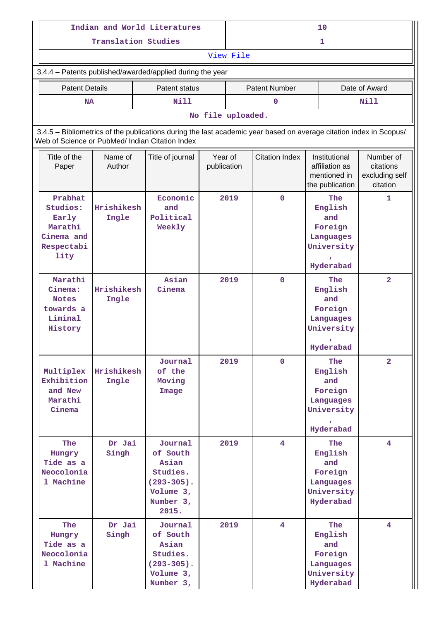|                                                                                                                                                                       |                     | Indian and World Literatures                                                                     |                                                 | 10   |                                                                    |                                                                                 |                |  |
|-----------------------------------------------------------------------------------------------------------------------------------------------------------------------|---------------------|--------------------------------------------------------------------------------------------------|-------------------------------------------------|------|--------------------------------------------------------------------|---------------------------------------------------------------------------------|----------------|--|
|                                                                                                                                                                       | Translation Studies |                                                                                                  |                                                 | 1    |                                                                    |                                                                                 |                |  |
| View File                                                                                                                                                             |                     |                                                                                                  |                                                 |      |                                                                    |                                                                                 |                |  |
| 3.4.4 - Patents published/awarded/applied during the year                                                                                                             |                     |                                                                                                  |                                                 |      |                                                                    |                                                                                 |                |  |
| <b>Patent Details</b>                                                                                                                                                 |                     | Patent status                                                                                    |                                                 |      | <b>Patent Number</b>                                               |                                                                                 | Date of Award  |  |
| <b>NA</b>                                                                                                                                                             |                     | <b>Nill</b>                                                                                      |                                                 |      | $\mathbf{0}$                                                       |                                                                                 | Nill           |  |
| No file uploaded.                                                                                                                                                     |                     |                                                                                                  |                                                 |      |                                                                    |                                                                                 |                |  |
| 3.4.5 - Bibliometrics of the publications during the last academic year based on average citation index in Scopus/<br>Web of Science or PubMed/ Indian Citation Index |                     |                                                                                                  |                                                 |      |                                                                    |                                                                                 |                |  |
| Title of the<br>Paper                                                                                                                                                 | Name of<br>Author   | Title of journal                                                                                 | <b>Citation Index</b><br>Year of<br>publication |      | Institutional<br>affiliation as<br>mentioned in<br>the publication | Number of<br>citations<br>excluding self<br>citation                            |                |  |
| Prabhat<br>Studios:<br>Early<br>Marathi<br>Cinema and<br>Respectabi<br>lity                                                                                           | Hrishikesh<br>Ingle | Economic<br>and<br>Political<br>Weekly                                                           | 2019                                            |      | $\mathbf 0$                                                        | The<br>English<br>and<br>Foreign<br>Languages<br>University<br>Hyderabad        | 1              |  |
| Marathi<br>Cinema:<br><b>Notes</b><br>towards a<br>Liminal<br>History                                                                                                 | Hrishikesh<br>Ingle | Asian<br>Cinema                                                                                  |                                                 | 2019 | $\mathbf 0$                                                        | The<br>English<br>and<br>Foreign<br>Languages<br>University<br>Hyderabad        | $\overline{a}$ |  |
| Multiplex<br>Exhibition<br>and New<br>Marathi<br>Cinema                                                                                                               | Hrishikesh<br>Ingle | Journal<br>of the<br>Moving<br>Image                                                             |                                                 | 2019 | $\mathbf{0}$                                                       | The<br>English<br>and<br>Foreign<br>Languages<br>University<br>Hyderabad        | $\overline{2}$ |  |
| <b>The</b><br>Hungry<br>Tide as a<br>Neocolonia<br>1 Machine                                                                                                          | Dr Jai<br>Singh     | Journal<br>of South<br>Asian<br>Studies.<br>$(293 - 305)$ .<br>Volume $3,$<br>Number 3,<br>2015. |                                                 | 2019 | $\overline{4}$                                                     | <b>The</b><br>English<br>and<br>Foreign<br>Languages<br>University<br>Hyderabad | $\overline{4}$ |  |
| The<br>Hungry<br>Tide as a<br>Neocolonia<br>1 Machine                                                                                                                 | Dr Jai<br>Singh     | Journal<br>of South<br>Asian<br>Studies.<br>$(293 - 305)$ .<br>Volume $3,$<br>Number 3,          |                                                 | 2019 | $\overline{4}$                                                     | The<br>English<br>and<br>Foreign<br>Languages<br>University<br>Hyderabad        | $\overline{4}$ |  |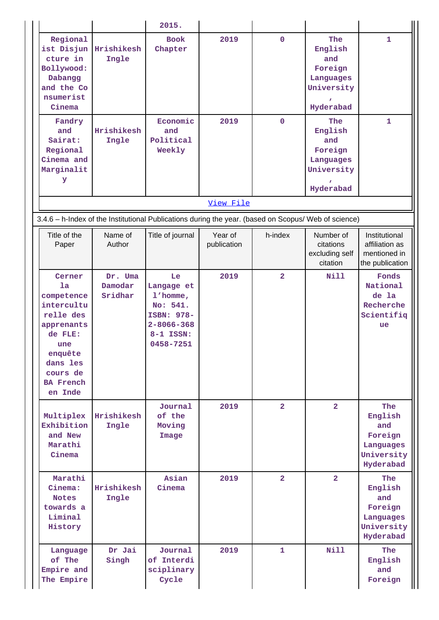|                                                                                                                                                         |                                   | 2015.                                                                                                   |                        |                          |                                                                                            |                                                                          |
|---------------------------------------------------------------------------------------------------------------------------------------------------------|-----------------------------------|---------------------------------------------------------------------------------------------------------|------------------------|--------------------------|--------------------------------------------------------------------------------------------|--------------------------------------------------------------------------|
| Regional<br>ist Disjun<br>cture in<br>Bollywood:<br>Dabangg<br>and the Co<br>nsumerist<br>Cinema<br>Fandry<br>and                                       | Hrishikesh<br>Ingle<br>Hrishikesh | <b>Book</b><br>Chapter<br>Economic<br>and                                                               | 2019<br>2019           | $\mathbf{O}$<br>$\Omega$ | The<br>English<br>and<br>Foreign<br>Languages<br>University<br>Hyderabad<br>The<br>English | 1<br>1                                                                   |
| Sairat:<br>Regional<br>Cinema and<br>Marginalit<br>У                                                                                                    | Ingle                             | Political<br>Weekly                                                                                     |                        |                          | and<br>Foreign<br>Languages<br>University<br>Hyderabad                                     |                                                                          |
|                                                                                                                                                         |                                   |                                                                                                         | View File              |                          |                                                                                            |                                                                          |
| 3.4.6 - h-Index of the Institutional Publications during the year. (based on Scopus/ Web of science)                                                    |                                   |                                                                                                         |                        |                          |                                                                                            |                                                                          |
| Title of the<br>Paper                                                                                                                                   | Name of<br>Author                 | Title of journal                                                                                        | Year of<br>publication | h-index                  | Number of<br>citations<br>excluding self<br>citation                                       | Institutional<br>affiliation as<br>mentioned in<br>the publication       |
| Cerner<br>1a<br>competence<br>intercultu<br>relle des<br>apprenants<br>de FLE:<br>une<br>enquête<br>dans les<br>cours de<br><b>BA French</b><br>en Inde | Dr. Uma<br>Damodar<br>Sridhar     | Le<br>Langage et<br>$1'$ homme,<br>No: 541.<br>ISBN: 978-<br>$2 - 8066 - 368$<br>8-1 ISSN:<br>0458-7251 | 2019                   | $\overline{2}$           | <b>Nill</b>                                                                                | Fonds<br>National<br>de la<br>Recherche<br>Scientifiq<br><b>ue</b>       |
| Multiplex<br>Exhibition<br>and New<br>Marathi<br>Cinema                                                                                                 | Hrishikesh<br>Ingle               | Journal<br>of the<br>Moving<br>Image                                                                    | 2019                   | $\overline{2}$           | $\overline{2}$                                                                             | The<br>English<br>and<br>Foreign<br>Languages<br>University<br>Hyderabad |
| Marathi<br>Cinema:<br><b>Notes</b><br>towards a<br>Liminal<br>History                                                                                   | Hrishikesh<br>Ingle               | Asian<br>Cinema                                                                                         | 2019                   | $\overline{2}$           | $\overline{2}$                                                                             | The<br>English<br>and<br>Foreign<br>Languages<br>University<br>Hyderabad |
| Language<br>of The<br>Empire and<br>The Empire                                                                                                          | Dr Jai<br>Singh                   | Journal<br>of Interdi<br>sciplinary<br>Cycle                                                            | 2019                   | $\mathbf{1}$             | <b>Nill</b>                                                                                | The<br>English<br>and<br>Foreign                                         |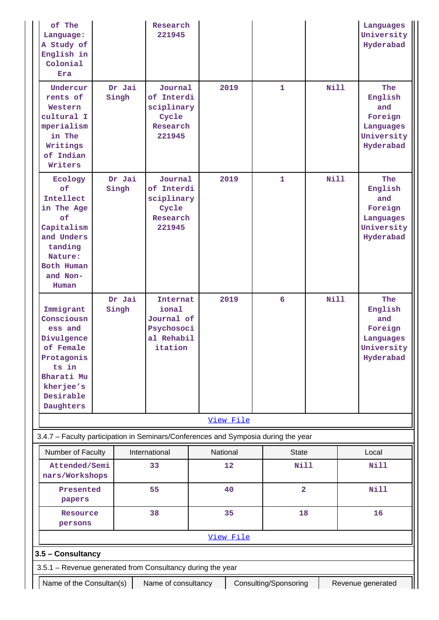| of The<br>Language:<br>A Study of<br>English in<br>Colonial<br>Era                                                                        |       |        | Research<br>221945                                                     |           |                       |                |             | Languages<br>University<br>Hyderabad                                     |
|-------------------------------------------------------------------------------------------------------------------------------------------|-------|--------|------------------------------------------------------------------------|-----------|-----------------------|----------------|-------------|--------------------------------------------------------------------------|
| Undercur<br>rents of<br>Western<br>cultural I<br>mperialism<br>in The<br>Writings<br>of Indian<br>Writers                                 | Singh | Dr Jai | Journal<br>of Interdi<br>sciplinary<br>Cycle<br>Research<br>221945     | 2019      | $\mathbf{1}$          |                | <b>Nill</b> | The<br>English<br>and<br>Foreign<br>Languages<br>University<br>Hyderabad |
| Ecology<br>of<br>Intellect<br>in The Age<br>of<br>Capitalism<br>and Unders<br>tanding<br>Nature:<br>Both Human<br>and Non-<br>Human       | Singh | Dr Jai | Journal<br>of Interdi<br>sciplinary<br>Cycle<br>Research<br>221945     | 2019      | $\mathbf{1}$          |                | <b>Nill</b> | The<br>English<br>and<br>Foreign<br>Languages<br>University<br>Hyderabad |
| Immigrant<br>Consciousn<br>ess and<br>Divulgence<br>of Female<br>Protagonis<br>ts in<br>Bharati Mu<br>kherjee's<br>Desirable<br>Daughters | Singh | Dr Jai | Internat<br>ional<br>Journal of<br>Psychosoci<br>al Rehabil<br>itation | 2019      | 6                     |                | <b>Nill</b> | The<br>English<br>and<br>Foreign<br>Languages<br>University<br>Hyderabad |
|                                                                                                                                           |       |        |                                                                        | View File |                       |                |             |                                                                          |
| 3.4.7 - Faculty participation in Seminars/Conferences and Symposia during the year                                                        |       |        |                                                                        |           |                       |                |             |                                                                          |
| Number of Faculty                                                                                                                         |       |        | International                                                          | National  |                       | <b>State</b>   |             | Local                                                                    |
| Attended/Semi<br>nars/Workshops                                                                                                           |       |        | 33                                                                     | 12        |                       | <b>Nill</b>    |             | <b>Nill</b>                                                              |
| Presented<br>papers                                                                                                                       |       |        | 55                                                                     | 40        |                       | $\overline{2}$ |             | <b>Nill</b>                                                              |
| Resource<br>persons                                                                                                                       |       |        | 38                                                                     | 35        |                       | 18             |             | 16                                                                       |
|                                                                                                                                           |       |        |                                                                        | View File |                       |                |             |                                                                          |
| 3.5 - Consultancy                                                                                                                         |       |        |                                                                        |           |                       |                |             |                                                                          |
| 3.5.1 - Revenue generated from Consultancy during the year                                                                                |       |        |                                                                        |           |                       |                |             |                                                                          |
| Name of the Consultan(s)                                                                                                                  |       |        | Name of consultancy                                                    |           | Consulting/Sponsoring |                |             | Revenue generated                                                        |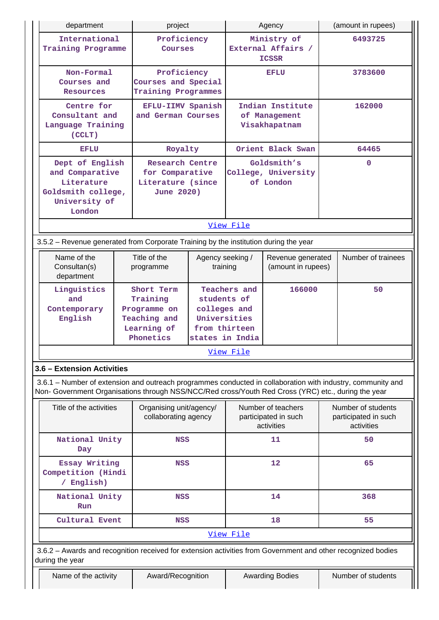| department                                                                                                                                                                                                                                       | project                                                                            |           |                                                                                                           | Agency                                                   |         | (amount in rupees)                                       |              |  |
|--------------------------------------------------------------------------------------------------------------------------------------------------------------------------------------------------------------------------------------------------|------------------------------------------------------------------------------------|-----------|-----------------------------------------------------------------------------------------------------------|----------------------------------------------------------|---------|----------------------------------------------------------|--------------|--|
| International<br>Training Programme                                                                                                                                                                                                              | Proficiency<br>Courses                                                             |           | Ministry of<br>External Affairs /<br><b>ICSSR</b>                                                         |                                                          |         | 6493725                                                  |              |  |
| Non-Formal<br>Courses and<br><b>Resources</b>                                                                                                                                                                                                    | Proficiency<br>Courses and Special<br>Training Programmes                          |           | EFLU                                                                                                      |                                                          | 3783600 |                                                          |              |  |
| Centre for<br>Consultant and<br>Language Training<br>(CCLT)                                                                                                                                                                                      | EFLU-IIMV Spanish<br>and German Courses                                            |           | Indian Institute<br>of Management<br>Visakhapatnam                                                        |                                                          |         | 162000                                                   |              |  |
| EFLU                                                                                                                                                                                                                                             | Royalty                                                                            |           |                                                                                                           | Orient Black Swan                                        |         | 64465                                                    |              |  |
| Dept of English<br>and Comparative<br>Literature<br>Goldsmith college,<br>University of<br>London                                                                                                                                                | <b>Research Centre</b><br>for Comparative<br>Literature (since<br>June 2020)       |           | Goldsmith's<br>College, University<br>of London                                                           |                                                          |         |                                                          | $\mathbf{0}$ |  |
|                                                                                                                                                                                                                                                  |                                                                                    |           | View File                                                                                                 |                                                          |         |                                                          |              |  |
| 3.5.2 - Revenue generated from Corporate Training by the institution during the year                                                                                                                                                             |                                                                                    |           |                                                                                                           |                                                          |         |                                                          |              |  |
| Name of the<br>Consultan(s)<br>department                                                                                                                                                                                                        | Title of the<br>programme                                                          | training  | Agency seeking /<br>Revenue generated<br>(amount in rupees)                                               |                                                          |         | Number of trainees                                       |              |  |
| Linguistics<br>and<br>Contemporary<br>English                                                                                                                                                                                                    | Short Term<br>Training<br>Programme on<br>Teaching and<br>Learning of<br>Phonetics | View File | Teachers and<br>166000<br>students of<br>colleges and<br>Universities<br>from thirteen<br>states in India |                                                          |         | 50                                                       |              |  |
|                                                                                                                                                                                                                                                  |                                                                                    |           |                                                                                                           |                                                          |         |                                                          |              |  |
| 3.6 - Extension Activities<br>3.6.1 – Number of extension and outreach programmes conducted in collaboration with industry, community and<br>Non- Government Organisations through NSS/NCC/Red cross/Youth Red Cross (YRC) etc., during the year |                                                                                    |           |                                                                                                           |                                                          |         |                                                          |              |  |
| Title of the activities                                                                                                                                                                                                                          | Organising unit/agency/<br>collaborating agency                                    |           |                                                                                                           | Number of teachers<br>participated in such<br>activities |         | Number of students<br>participated in such<br>activities |              |  |
| National Unity<br>Day                                                                                                                                                                                                                            | <b>NSS</b>                                                                         |           |                                                                                                           | 11                                                       |         | 50                                                       |              |  |
| Essay Writing<br>Competition (Hindi<br>/ English)                                                                                                                                                                                                | <b>NSS</b>                                                                         |           |                                                                                                           | 12                                                       |         | 65                                                       |              |  |
| National Unity<br>Run                                                                                                                                                                                                                            | <b>NSS</b>                                                                         |           | 14                                                                                                        |                                                          |         | 368                                                      |              |  |
| Cultural Event                                                                                                                                                                                                                                   | <b>NSS</b>                                                                         |           |                                                                                                           | 18                                                       |         | 55                                                       |              |  |
|                                                                                                                                                                                                                                                  |                                                                                    |           | View File                                                                                                 |                                                          |         |                                                          |              |  |
| 3.6.2 - Awards and recognition received for extension activities from Government and other recognized bodies<br>during the year                                                                                                                  |                                                                                    |           |                                                                                                           |                                                          |         |                                                          |              |  |
| Name of the activity                                                                                                                                                                                                                             | Award/Recognition                                                                  |           |                                                                                                           | <b>Awarding Bodies</b>                                   |         | Number of students                                       |              |  |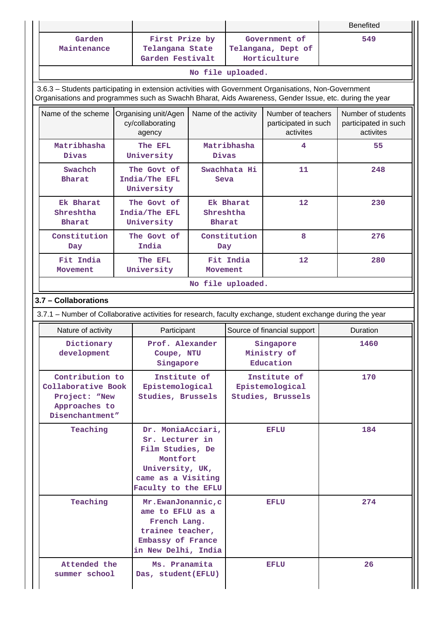|                                                                                                             |                              |                                                                                                                                      |                                                      |                                                                          |                                                         |          | <b>Benefited</b>                                        |
|-------------------------------------------------------------------------------------------------------------|------------------------------|--------------------------------------------------------------------------------------------------------------------------------------|------------------------------------------------------|--------------------------------------------------------------------------|---------------------------------------------------------|----------|---------------------------------------------------------|
| Garden<br>Maintenance                                                                                       |                              | First Prize by<br>Telangana State<br>Garden Festivalt                                                                                |                                                      | Government of<br>Telangana, Dept of<br>Horticulture<br>No file uploaded. |                                                         | 549      |                                                         |
| 3.6.3 - Students participating in extension activities with Government Organisations, Non-Government        |                              |                                                                                                                                      |                                                      |                                                                          |                                                         |          |                                                         |
| Organisations and programmes such as Swachh Bharat, Aids Awareness, Gender Issue, etc. during the year      |                              |                                                                                                                                      |                                                      |                                                                          |                                                         |          |                                                         |
| Name of the scheme                                                                                          |                              | Name of the activity<br>Organising unit/Agen<br>cy/collaborating<br>agency                                                           |                                                      |                                                                          | Number of teachers<br>participated in such<br>activites |          | Number of students<br>participated in such<br>activites |
| Matribhasha<br>Divas                                                                                        |                              | The EFL<br>University                                                                                                                | Divas                                                | Matribhasha                                                              | 4                                                       |          | 55                                                      |
| Swachch<br><b>Bharat</b>                                                                                    |                              | The Govt of<br>India/The EFL<br>University                                                                                           | Seva                                                 | Swachhata Hi                                                             | 11                                                      |          | 248                                                     |
| Ek Bharat<br>Shreshtha<br><b>Bharat</b>                                                                     |                              | The Goyt of<br>India/The EFL<br>University                                                                                           | Shreshtha<br><b>Bharat</b>                           | Ek Bharat                                                                | 12                                                      |          | 230                                                     |
| Constitution<br>Day                                                                                         |                              | The Govt of<br>India                                                                                                                 |                                                      | Constitution<br>8<br>Day                                                 |                                                         |          | 276                                                     |
| Fit India<br>Movement                                                                                       | <b>The EFL</b><br>University |                                                                                                                                      | Fit India<br>12<br>Movement                          |                                                                          |                                                         | 280      |                                                         |
|                                                                                                             |                              |                                                                                                                                      |                                                      | No file uploaded.                                                        |                                                         |          |                                                         |
| 3.7 - Collaborations                                                                                        |                              |                                                                                                                                      |                                                      |                                                                          |                                                         |          |                                                         |
| 3.7.1 – Number of Collaborative activities for research, faculty exchange, student exchange during the year |                              |                                                                                                                                      |                                                      |                                                                          |                                                         |          |                                                         |
| Nature of activity                                                                                          |                              | Participant                                                                                                                          |                                                      |                                                                          | Source of financial support                             | Duration |                                                         |
| Dictionary<br>development                                                                                   |                              | Prof. Alexander<br>Coupe, NTU<br>Singapore                                                                                           |                                                      | Singapore<br>Ministry of<br>Education                                    |                                                         |          | 1460                                                    |
| Contribution to<br>Collaborative Book<br>Project: "New<br>Approaches to<br>Disenchantment"                  |                              |                                                                                                                                      | Institute of<br>Epistemological<br>Studies, Brussels |                                                                          | Institute of<br>Epistemological<br>Studies, Brussels    |          | 170                                                     |
| Teaching                                                                                                    |                              | Dr. MoniaAcciari,<br>Sr. Lecturer in<br>Film Studies, De<br>Montfort<br>University, UK,<br>came as a Visiting<br>Faculty to the EFLU |                                                      | <b>EFLU</b>                                                              |                                                         | 184      |                                                         |
| Teaching                                                                                                    |                              | Mr.EwanJonannic, c<br>ame to EFLU as a<br>French Lang.<br>trainee teacher,<br>Embassy of France<br>in New Delhi, India               |                                                      |                                                                          | <b>EFLU</b>                                             | 274      |                                                         |
| Attended the<br>summer school                                                                               |                              | Ms. Pranamita<br>Das, student (EFLU)                                                                                                 |                                                      |                                                                          | <b>EFLU</b>                                             |          | 26                                                      |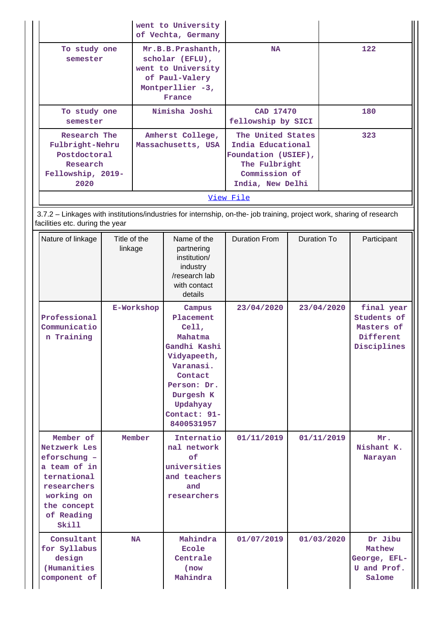|                                                                                                                                                          |                                                                                                                            |                                                                                                                                                                                    | went to University<br>of Vechta, Germany                                                          |                                                                                                                     |             |            |                                                                     |  |
|----------------------------------------------------------------------------------------------------------------------------------------------------------|----------------------------------------------------------------------------------------------------------------------------|------------------------------------------------------------------------------------------------------------------------------------------------------------------------------------|---------------------------------------------------------------------------------------------------|---------------------------------------------------------------------------------------------------------------------|-------------|------------|---------------------------------------------------------------------|--|
| semester                                                                                                                                                 | To study one<br>Mr.B.B.Prashanth,<br>scholar (EFLU),<br>went to University<br>of Paul-Valery<br>Montperllier -3,<br>France |                                                                                                                                                                                    |                                                                                                   | <b>NA</b>                                                                                                           |             | 122        |                                                                     |  |
| To study one<br>semester                                                                                                                                 |                                                                                                                            |                                                                                                                                                                                    | Nimisha Joshi                                                                                     | CAD 17470<br>fellowship by SICI                                                                                     |             | 180        |                                                                     |  |
| 2020                                                                                                                                                     | Research The<br>Fulbright-Nehru<br>Postdoctoral<br>Research<br>Fellowship, 2019-                                           |                                                                                                                                                                                    | Amherst College,<br>Massachusetts, USA                                                            | The United States<br>India Educational<br>Foundation (USIEF),<br>The Fulbright<br>Commission of<br>India, New Delhi |             |            | 323                                                                 |  |
|                                                                                                                                                          |                                                                                                                            |                                                                                                                                                                                    |                                                                                                   | View File                                                                                                           |             |            |                                                                     |  |
| 3.7.2 - Linkages with institutions/industries for internship, on-the- job training, project work, sharing of research<br>facilities etc. during the year |                                                                                                                            |                                                                                                                                                                                    |                                                                                                   |                                                                                                                     |             |            |                                                                     |  |
| Nature of linkage                                                                                                                                        | Title of the<br>linkage                                                                                                    |                                                                                                                                                                                    | Name of the<br>partnering<br>institution/<br>industry<br>/research lab<br>with contact<br>details | <b>Duration From</b>                                                                                                | Duration To |            | Participant                                                         |  |
| Professional<br>Communicatio<br>n Training                                                                                                               |                                                                                                                            | E-Workshop<br>Campus<br>Placement<br>Cell,<br>Mahatma<br>Gandhi Kashi<br>Vidyapeeth,<br>Varanasi.<br>Contact<br>Person: Dr.<br>Durgesh K<br>Updahyay<br>Contact: 91-<br>8400531957 |                                                                                                   | 23/04/2020                                                                                                          |             | 23/04/2020 | final year<br>Students of<br>Masters of<br>Different<br>Disciplines |  |
| Member of<br>Netzwerk Les<br>eforschung -<br>a team of in<br>ternational<br>researchers<br>working on<br>the concept<br>of Reading<br>Skill              |                                                                                                                            | Member                                                                                                                                                                             | Internatio<br>nal network<br>of<br>universities<br>and teachers<br>and<br>researchers             | 01/11/2019                                                                                                          |             | 01/11/2019 | Mr.<br>Nishant K.<br>Narayan                                        |  |
| Consultant<br>for Syllabus<br>design<br>(Humanities<br>component of                                                                                      |                                                                                                                            | <b>NA</b>                                                                                                                                                                          | Mahindra<br>Ecole<br>Centrale<br>(now)<br>Mahindra                                                | 01/07/2019                                                                                                          |             | 01/03/2020 | Dr Jibu<br>Mathew<br>George, EFL-<br>U and Prof.<br>Salome          |  |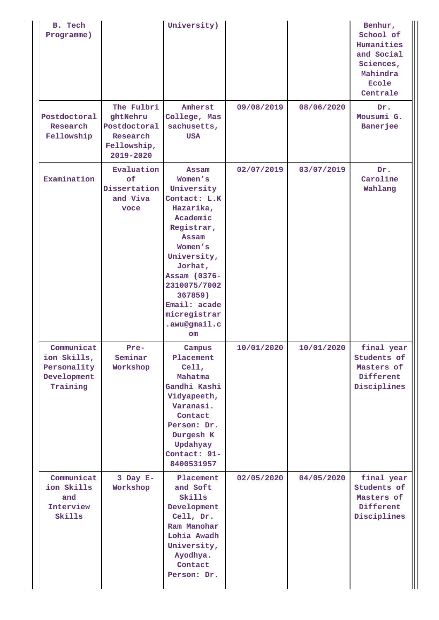| B. Tech<br>Programme)                                               |                                                                                 | University)                                                                                                                                                                                                                            |            |            | Benhur,<br>School of<br>Humanities<br>and Social<br>Sciences,<br>Mahindra<br>Ecole<br>Centrale |
|---------------------------------------------------------------------|---------------------------------------------------------------------------------|----------------------------------------------------------------------------------------------------------------------------------------------------------------------------------------------------------------------------------------|------------|------------|------------------------------------------------------------------------------------------------|
| Postdoctoral<br>Research<br>Fellowship                              | The Fulbri<br>ght Nehru<br>Postdoctoral<br>Research<br>Fellowship,<br>2019-2020 | Amherst<br>College, Mas<br>sachusetts,<br><b>USA</b>                                                                                                                                                                                   | 09/08/2019 | 08/06/2020 | Dr.<br>Mousumi G.<br><b>Banerjee</b>                                                           |
| Examination                                                         | Evaluation<br>of<br>Dissertation<br>and Viva<br>voce                            | Assam<br>Women's<br>University<br>Contact: L.K<br>Hazarika,<br>Academic<br>Registrar,<br>Assam<br>Women's<br>University,<br>Jorhat,<br>Assam (0376-<br>2310075/7002<br>367859)<br>Email: acade<br>micregistrar<br>.awu@gmail.c<br>$cm$ | 02/07/2019 | 03/07/2019 | Dr.<br>Caroline<br>Wahlang                                                                     |
| Communicat<br>ion Skills,<br>Personality<br>Development<br>Training | Pre-<br>Seminar<br>Workshop                                                     | Campus<br>Placement<br>Cell,<br>Mahatma<br>Gandhi Kashi<br>Vidyapeeth,<br>Varanasi.<br>Contact<br>Person: Dr.<br>Durgesh K<br>Updahyay<br>Contact: 91-<br>8400531957                                                                   | 10/01/2020 | 10/01/2020 | final year<br>Students of<br>Masters of<br>Different<br>Disciplines                            |
| Communicat<br>ion Skills<br>and<br>Interview<br>Skills              | $3$ Day $E-$<br>Workshop                                                        | Placement<br>and Soft<br>Skills<br>Development<br>Cell, Dr.<br>Ram Manohar<br>Lohia Awadh<br>University,<br>Ayodhya.<br>Contact<br>Person: Dr.                                                                                         | 02/05/2020 | 04/05/2020 | final year<br>Students of<br>Masters of<br>Different<br>Disciplines                            |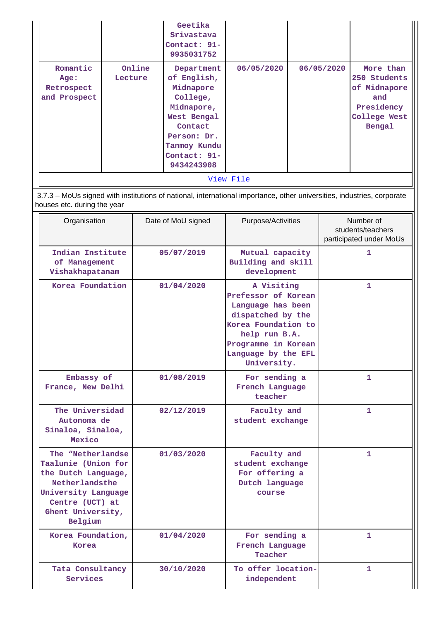|                                                |                   | Geetika<br>Srivastava<br>Contact: 91-<br>9935031752                                                                                                     |                  |            |                                                                                          |
|------------------------------------------------|-------------------|---------------------------------------------------------------------------------------------------------------------------------------------------------|------------------|------------|------------------------------------------------------------------------------------------|
| Romantic<br>Age:<br>Retrospect<br>and Prospect | Online<br>Lecture | Department<br>of English,<br>Midnapore<br>College,<br>Midnapore,<br>West Bengal<br>Contact<br>Person: Dr.<br>Tanmoy Kundu<br>Contact: 91-<br>9434243908 | 06/05/2020       | 06/05/2020 | More than<br>250 Students<br>of Midnapore<br>and<br>Presidency<br>College West<br>Bengal |
|                                                |                   |                                                                                                                                                         | <u>View File</u> |            |                                                                                          |

 3.7.3 – MoUs signed with institutions of national, international importance, other universities, industries, corporate houses etc. during the year

| Organisation                                                                                                                                                | Date of MoU signed | Purpose/Activities                                                                                                                                                               | Number of                                    |
|-------------------------------------------------------------------------------------------------------------------------------------------------------------|--------------------|----------------------------------------------------------------------------------------------------------------------------------------------------------------------------------|----------------------------------------------|
|                                                                                                                                                             |                    |                                                                                                                                                                                  | students/teachers<br>participated under MoUs |
| Indian Institute<br>of Management<br>Vishakhapatanam                                                                                                        | 05/07/2019         | Mutual capacity<br>Building and skill<br>development                                                                                                                             | 1                                            |
| Korea Foundation                                                                                                                                            | 01/04/2020         | A Visiting<br>Prefessor of Korean<br>Language has been<br>dispatched by the<br>Korea Foundation to<br>help run B.A.<br>Programme in Korean<br>Language by the EFL<br>University. | 1                                            |
| Embassy of<br>France, New Delhi                                                                                                                             | 01/08/2019         | For sending a<br>French Language<br>teacher                                                                                                                                      | 1.                                           |
| The Universidad<br>Autonoma de<br>Sinaloa, Sinaloa,<br>Mexico                                                                                               | 02/12/2019         | Faculty and<br>student exchange                                                                                                                                                  | 1                                            |
| The "Netherlandse<br>Taalunie (Union for<br>the Dutch Language,<br>Netherlandsthe<br>University Language<br>Centre (UCT) at<br>Ghent University,<br>Belgium | 01/03/2020         | Faculty and<br>student exchange<br>For offering a<br>Dutch language<br>course                                                                                                    | 1.                                           |
| Korea Foundation.<br>Korea                                                                                                                                  | 01/04/2020         | For sending a<br>French Language<br>Teacher                                                                                                                                      | 1                                            |
| Tata Consultancy<br>Services                                                                                                                                | 30/10/2020         | To offer location-<br>independent                                                                                                                                                | 1                                            |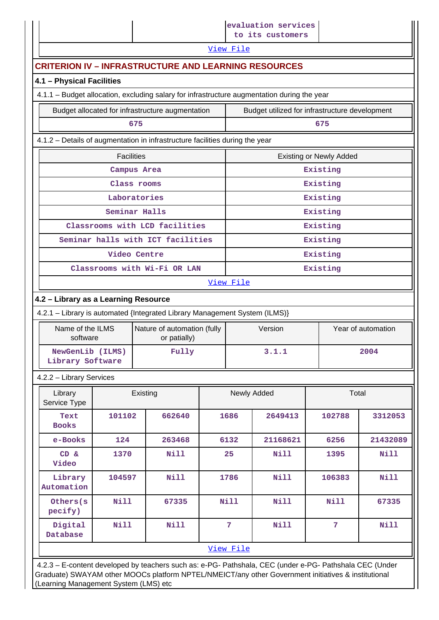|                                                               |                                                                                                                    |                                                                                                                                                                                                                |  |                | evaluation services<br>to its customers        |                                |                    |  |
|---------------------------------------------------------------|--------------------------------------------------------------------------------------------------------------------|----------------------------------------------------------------------------------------------------------------------------------------------------------------------------------------------------------------|--|----------------|------------------------------------------------|--------------------------------|--------------------|--|
|                                                               | View File                                                                                                          |                                                                                                                                                                                                                |  |                |                                                |                                |                    |  |
|                                                               |                                                                                                                    | <b>CRITERION IV - INFRASTRUCTURE AND LEARNING RESOURCES</b>                                                                                                                                                    |  |                |                                                |                                |                    |  |
| 4.1 - Physical Facilities                                     |                                                                                                                    |                                                                                                                                                                                                                |  |                |                                                |                                |                    |  |
|                                                               |                                                                                                                    | 4.1.1 - Budget allocation, excluding salary for infrastructure augmentation during the year                                                                                                                    |  |                |                                                |                                |                    |  |
|                                                               |                                                                                                                    | Budget allocated for infrastructure augmentation                                                                                                                                                               |  |                | Budget utilized for infrastructure development |                                |                    |  |
|                                                               |                                                                                                                    | 675                                                                                                                                                                                                            |  |                |                                                | 675                            |                    |  |
|                                                               |                                                                                                                    | 4.1.2 - Details of augmentation in infrastructure facilities during the year                                                                                                                                   |  |                |                                                |                                |                    |  |
|                                                               | <b>Facilities</b>                                                                                                  |                                                                                                                                                                                                                |  |                |                                                | <b>Existing or Newly Added</b> |                    |  |
|                                                               |                                                                                                                    | Campus Area                                                                                                                                                                                                    |  |                |                                                | Existing                       |                    |  |
|                                                               |                                                                                                                    | Class rooms                                                                                                                                                                                                    |  |                |                                                | Existing                       |                    |  |
|                                                               |                                                                                                                    | Laboratories                                                                                                                                                                                                   |  |                |                                                | Existing                       |                    |  |
|                                                               |                                                                                                                    | Seminar Halls                                                                                                                                                                                                  |  |                |                                                | Existing                       |                    |  |
|                                                               |                                                                                                                    | Classrooms with LCD facilities                                                                                                                                                                                 |  |                |                                                | Existing                       |                    |  |
| Seminar halls with ICT facilities<br>Existing<br>Video Centre |                                                                                                                    |                                                                                                                                                                                                                |  |                |                                                |                                |                    |  |
|                                                               |                                                                                                                    | Classrooms with Wi-Fi OR LAN                                                                                                                                                                                   |  |                |                                                | Existing<br>Existing           |                    |  |
|                                                               |                                                                                                                    |                                                                                                                                                                                                                |  | View File      |                                                |                                |                    |  |
|                                                               |                                                                                                                    |                                                                                                                                                                                                                |  |                |                                                |                                |                    |  |
|                                                               | 4.2 - Library as a Learning Resource<br>4.2.1 - Library is automated {Integrated Library Management System (ILMS)} |                                                                                                                                                                                                                |  |                |                                                |                                |                    |  |
| Name of the ILMS                                              |                                                                                                                    | Nature of automation (fully                                                                                                                                                                                    |  |                | Version                                        |                                | Year of automation |  |
| software                                                      |                                                                                                                    | or patially)                                                                                                                                                                                                   |  |                |                                                |                                |                    |  |
| NewGenLib (ILMS)<br>Library Software                          |                                                                                                                    | Fully                                                                                                                                                                                                          |  |                | 3.1.1                                          |                                | 2004               |  |
| 4.2.2 - Library Services                                      |                                                                                                                    |                                                                                                                                                                                                                |  |                |                                                |                                |                    |  |
| Library<br>Service Type                                       |                                                                                                                    | Existing                                                                                                                                                                                                       |  |                | Newly Added                                    | Total                          |                    |  |
| Text<br><b>Books</b>                                          | 101102                                                                                                             | 662640                                                                                                                                                                                                         |  | 1686           | 2649413                                        | 102788                         | 3312053            |  |
| e-Books                                                       | 124                                                                                                                | 263468                                                                                                                                                                                                         |  | 6132           | 21168621                                       | 6256                           | 21432089           |  |
| CD &<br>Video                                                 | 1370                                                                                                               | Nill                                                                                                                                                                                                           |  | 25             | Nill                                           | 1395                           | <b>Nill</b>        |  |
| Library<br>Automation                                         | 104597                                                                                                             | Nill                                                                                                                                                                                                           |  | 1786           | Nill                                           | 106383                         | <b>Nill</b>        |  |
| Others(s<br>pecify)                                           | <b>Nill</b>                                                                                                        | 67335                                                                                                                                                                                                          |  | Nill           | Nill                                           | Nill                           | 67335              |  |
| Digital<br>Database                                           | <b>Nill</b>                                                                                                        | <b>Nill</b>                                                                                                                                                                                                    |  | $\overline{7}$ | Nill                                           | 7                              | <b>Nill</b>        |  |
|                                                               |                                                                                                                    |                                                                                                                                                                                                                |  | View File      |                                                |                                |                    |  |
|                                                               |                                                                                                                    | 4.2.3 - E-content developed by teachers such as: e-PG- Pathshala, CEC (under e-PG- Pathshala CEC (Under<br>Graduate) SWAYAM other MOOCs platform NPTEL/NMEICT/any other Government initiatives & institutional |  |                |                                                |                                |                    |  |

(Learning Management System (LMS) etc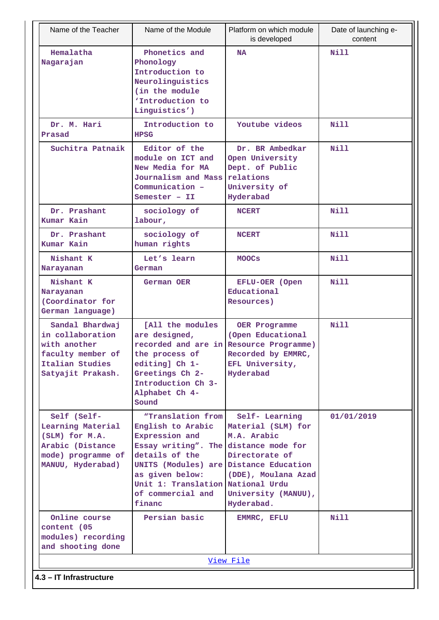| Name of the Teacher                                                                                               | Name of the Module                                                                                                                                                                                                                                   | Platform on which module<br>is developed                                                                                            | Date of launching e-<br>content |
|-------------------------------------------------------------------------------------------------------------------|------------------------------------------------------------------------------------------------------------------------------------------------------------------------------------------------------------------------------------------------------|-------------------------------------------------------------------------------------------------------------------------------------|---------------------------------|
| Hemalatha<br>Nagarajan                                                                                            | Phonetics and<br>Phonology<br>Introduction to<br>Neurolinguistics<br>(in the module<br>'Introduction to<br>Linguistics')                                                                                                                             | <b>NA</b>                                                                                                                           | Nill                            |
| Dr. M. Hari<br>Prasad                                                                                             | Introduction to<br><b>HPSG</b>                                                                                                                                                                                                                       | Youtube videos                                                                                                                      | <b>Nill</b>                     |
| Suchitra Patnaik                                                                                                  | Editor of the<br>module on ICT and<br>New Media for MA<br>Journalism and Mass<br>Communication -<br>Semester - II                                                                                                                                    | Dr. BR Ambedkar<br>Open University<br>Dept. of Public<br>relations<br>University of<br>Hyderabad                                    | Nill                            |
| Dr. Prashant<br>Kumar Kain                                                                                        | sociology of<br>labour,                                                                                                                                                                                                                              | <b>NCERT</b>                                                                                                                        | Nill                            |
| Dr. Prashant<br>Kumar Kain                                                                                        | sociology of<br>human rights                                                                                                                                                                                                                         | <b>NCERT</b>                                                                                                                        | Nill                            |
| Nishant K<br>Narayanan                                                                                            | Let's learn<br>German                                                                                                                                                                                                                                | <b>MOOCS</b>                                                                                                                        | Nill                            |
| Nishant K<br>Narayanan<br>(Coordinator for<br>German language)                                                    | German OER                                                                                                                                                                                                                                           | EFLU-OER (Open<br>Educational<br>Resources)                                                                                         | Nill                            |
| Sandal Bhardwaj<br>in collaboration<br>with another<br>faculty member of<br>Italian Studies<br>Satyajit Prakash.  | [All the modules<br>are designed,<br>the process of<br>editing] Ch 1-<br>Greetings Ch 2-<br>Introduction Ch 3-<br>Alphabet Ch 4-<br>Sound                                                                                                            | OER Programme<br>(Open Educational<br>recorded and are in Resource Programme)<br>Recorded by EMMRC,<br>EFL University,<br>Hyderabad | Nill                            |
| Self (Self-<br>Learning Material<br>(SLM) for M.A.<br>Arabic (Distance<br>mode) programme of<br>MANUU, Hyderabad) | "Translation from<br>English to Arabic<br>Expression and<br>Essay writing". The distance mode for<br>details of the<br>UNITS (Modules) are Distance Education<br>as given below:<br>Unit 1: Translation National Urdu<br>of commercial and<br>financ | Self- Learning<br>Material (SLM) for<br>M.A. Arabic<br>Directorate of<br>(DDE), Moulana Azad<br>University (MANUU),<br>Hyderabad.   | 01/01/2019                      |
| Online course<br>content (05<br>modules) recording<br>and shooting done                                           | Persian basic                                                                                                                                                                                                                                        | EMMRC, EFLU                                                                                                                         | Nill                            |
|                                                                                                                   |                                                                                                                                                                                                                                                      | View File                                                                                                                           |                                 |
| 4.3 - IT Infrastructure                                                                                           |                                                                                                                                                                                                                                                      |                                                                                                                                     |                                 |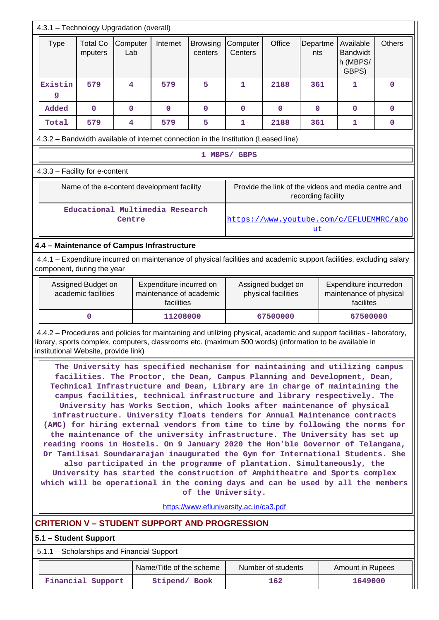| 4.3.1 - Technology Upgradation (overall)                                                                                                                                                          |                            |                 |                                            |                            |                                                                                     |                    |                    |                                                                                                                                                                                                                                                                                                                                                                                                                                                                                                                                                                                                                                                                                                                                                                                                                                                                                                                                                                               |               |
|---------------------------------------------------------------------------------------------------------------------------------------------------------------------------------------------------|----------------------------|-----------------|--------------------------------------------|----------------------------|-------------------------------------------------------------------------------------|--------------------|--------------------|-------------------------------------------------------------------------------------------------------------------------------------------------------------------------------------------------------------------------------------------------------------------------------------------------------------------------------------------------------------------------------------------------------------------------------------------------------------------------------------------------------------------------------------------------------------------------------------------------------------------------------------------------------------------------------------------------------------------------------------------------------------------------------------------------------------------------------------------------------------------------------------------------------------------------------------------------------------------------------|---------------|
| <b>Type</b>                                                                                                                                                                                       | <b>Total Co</b><br>mputers | Computer<br>Lab | Internet                                   | <b>Browsing</b><br>centers | Computer<br>Centers                                                                 | Office             | Departme<br>nts    | Available<br><b>Bandwidt</b><br>h (MBPS/<br>GBPS)                                                                                                                                                                                                                                                                                                                                                                                                                                                                                                                                                                                                                                                                                                                                                                                                                                                                                                                             | <b>Others</b> |
| Existin<br>g                                                                                                                                                                                      | 579                        | 4               | 579                                        | 5                          | $\mathbf{1}$                                                                        | 2188               | 361                | 1                                                                                                                                                                                                                                                                                                                                                                                                                                                                                                                                                                                                                                                                                                                                                                                                                                                                                                                                                                             | $\mathbf 0$   |
| Added                                                                                                                                                                                             | $\mathbf 0$                | $\mathbf 0$     | $\mathbf 0$                                | $\mathbf 0$                | $\mathbf 0$                                                                         | $\mathbf 0$        | $\mathbf 0$        | $\mathbf{0}$                                                                                                                                                                                                                                                                                                                                                                                                                                                                                                                                                                                                                                                                                                                                                                                                                                                                                                                                                                  | $\mathbf 0$   |
| Total                                                                                                                                                                                             | 579                        | 4               | 579                                        | 5                          | 1                                                                                   | 2188               | 361                | 1                                                                                                                                                                                                                                                                                                                                                                                                                                                                                                                                                                                                                                                                                                                                                                                                                                                                                                                                                                             | $\mathbf 0$   |
|                                                                                                                                                                                                   |                            |                 |                                            |                            | 4.3.2 - Bandwidth available of internet connection in the Institution (Leased line) |                    |                    |                                                                                                                                                                                                                                                                                                                                                                                                                                                                                                                                                                                                                                                                                                                                                                                                                                                                                                                                                                               |               |
|                                                                                                                                                                                                   |                            |                 |                                            |                            | 1 MBPS/ GBPS                                                                        |                    |                    |                                                                                                                                                                                                                                                                                                                                                                                                                                                                                                                                                                                                                                                                                                                                                                                                                                                                                                                                                                               |               |
| 4.3.3 - Facility for e-content                                                                                                                                                                    |                            |                 |                                            |                            |                                                                                     |                    |                    |                                                                                                                                                                                                                                                                                                                                                                                                                                                                                                                                                                                                                                                                                                                                                                                                                                                                                                                                                                               |               |
|                                                                                                                                                                                                   |                            |                 | Name of the e-content development facility |                            |                                                                                     |                    | recording facility | Provide the link of the videos and media centre and                                                                                                                                                                                                                                                                                                                                                                                                                                                                                                                                                                                                                                                                                                                                                                                                                                                                                                                           |               |
|                                                                                                                                                                                                   |                            | Centre          | Educational Multimedia Research            |                            |                                                                                     |                    | <u>ut</u>          | https://www.youtube.com/c/EFLUEMMRC/abo                                                                                                                                                                                                                                                                                                                                                                                                                                                                                                                                                                                                                                                                                                                                                                                                                                                                                                                                       |               |
| 4.4 - Maintenance of Campus Infrastructure                                                                                                                                                        |                            |                 |                                            |                            |                                                                                     |                    |                    |                                                                                                                                                                                                                                                                                                                                                                                                                                                                                                                                                                                                                                                                                                                                                                                                                                                                                                                                                                               |               |
| component, during the year                                                                                                                                                                        |                            |                 |                                            |                            |                                                                                     |                    |                    | 4.4.1 – Expenditure incurred on maintenance of physical facilities and academic support facilities, excluding salary                                                                                                                                                                                                                                                                                                                                                                                                                                                                                                                                                                                                                                                                                                                                                                                                                                                          |               |
| Assigned Budget on<br>Expenditure incurred on<br>Assigned budget on<br>Expenditure incurredon<br>academic facilities<br>maintenance of academic<br>physical facilities<br>maintenance of physical |                            |                 |                                            |                            |                                                                                     |                    |                    |                                                                                                                                                                                                                                                                                                                                                                                                                                                                                                                                                                                                                                                                                                                                                                                                                                                                                                                                                                               |               |
|                                                                                                                                                                                                   |                            |                 | facilities                                 |                            |                                                                                     |                    |                    | facilites                                                                                                                                                                                                                                                                                                                                                                                                                                                                                                                                                                                                                                                                                                                                                                                                                                                                                                                                                                     |               |
|                                                                                                                                                                                                   | 0                          |                 | 11208000                                   |                            |                                                                                     | 67500000           |                    | 67500000                                                                                                                                                                                                                                                                                                                                                                                                                                                                                                                                                                                                                                                                                                                                                                                                                                                                                                                                                                      |               |
|                                                                                                                                                                                                   |                            |                 |                                            |                            |                                                                                     |                    |                    | 4.4.2 - Procedures and policies for maintaining and utilizing physical, academic and support facilities - laboratory,<br>library, sports complex, computers, classrooms etc. (maximum 500 words) (information to be available in<br>The University has specified mechanism for maintaining and utilizing campus                                                                                                                                                                                                                                                                                                                                                                                                                                                                                                                                                                                                                                                               |               |
| institutional Website, provide link)                                                                                                                                                              |                            |                 |                                            |                            |                                                                                     |                    |                    | facilities. The Proctor, the Dean, Campus Planning and Development, Dean,<br>Technical Infrastructure and Dean, Library are in charge of maintaining the<br>campus facilities, technical infrastructure and library respectively. The<br>University has Works Section, which looks after maintenance of physical<br>infrastructure. University floats tenders for Annual Maintenance contracts<br>(AMC) for hiring external vendors from time to time by following the norms for<br>the maintenance of the university infrastructure. The University has set up<br>reading rooms in Hostels. On 9 January 2020 the Hon'ble Governor of Telangana,<br>Dr Tamilisai Soundararajan inaugurated the Gym for International Students. She<br>also participated in the programme of plantation. Simultaneously, the<br>University has started the construction of Amphitheatre and Sports complex<br>which will be operational in the coming days and can be used by all the members |               |
|                                                                                                                                                                                                   |                            |                 |                                            |                            | of the University.<br>https://www.efluniversity.ac.in/ca3.pdf                       |                    |                    |                                                                                                                                                                                                                                                                                                                                                                                                                                                                                                                                                                                                                                                                                                                                                                                                                                                                                                                                                                               |               |
|                                                                                                                                                                                                   |                            |                 |                                            |                            |                                                                                     |                    |                    |                                                                                                                                                                                                                                                                                                                                                                                                                                                                                                                                                                                                                                                                                                                                                                                                                                                                                                                                                                               |               |
|                                                                                                                                                                                                   |                            |                 |                                            |                            |                                                                                     |                    |                    |                                                                                                                                                                                                                                                                                                                                                                                                                                                                                                                                                                                                                                                                                                                                                                                                                                                                                                                                                                               |               |
|                                                                                                                                                                                                   |                            |                 |                                            |                            |                                                                                     |                    |                    |                                                                                                                                                                                                                                                                                                                                                                                                                                                                                                                                                                                                                                                                                                                                                                                                                                                                                                                                                                               |               |
| <b>CRITERION V - STUDENT SUPPORT AND PROGRESSION</b><br>5.1 - Student Support<br>5.1.1 - Scholarships and Financial Support                                                                       |                            |                 | Name/Title of the scheme                   |                            |                                                                                     | Number of students |                    | <b>Amount in Rupees</b>                                                                                                                                                                                                                                                                                                                                                                                                                                                                                                                                                                                                                                                                                                                                                                                                                                                                                                                                                       |               |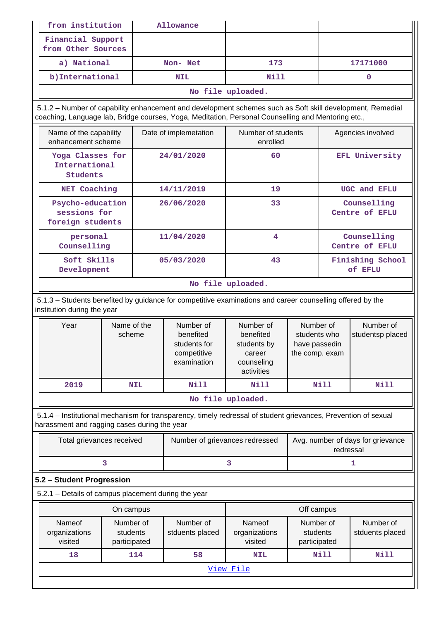| Financial Support<br>from Other Sources<br>a) National<br>173<br>17171000<br>Non- Net<br>b) International<br>Nill<br><b>NIL</b><br>0<br>No file uploaded.<br>5.1.2 – Number of capability enhancement and development schemes such as Soft skill development, Remedial<br>coaching, Language lab, Bridge courses, Yoga, Meditation, Personal Counselling and Mentoring etc.,<br>Number of students<br>Name of the capability<br>Date of implemetation<br>Agencies involved<br>enhancement scheme<br>enrolled<br><b>EFL University</b><br>Yoga Classes for<br>24/01/2020<br>60<br>International<br>Students<br>NET Coaching<br>14/11/2019<br>19<br>UGC and EFLU<br>Psycho-education<br>26/06/2020<br>33<br>Counselling<br>sessions for<br>Centre of EFLU<br>foreign students<br>11/04/2020<br>4<br>Counselling<br>personal<br>Counselling<br>Centre of EFLU<br>Soft Skills<br>05/03/2020<br>43<br>Finishing School<br>of EFLU<br>Development<br>No file uploaded.<br>5.1.3 - Students benefited by guidance for competitive examinations and career counselling offered by the<br>institution during the year<br>Name of the<br>Number of<br>Number of<br>Number of<br>Number of<br>Year<br>benefited<br>benefited<br>scheme<br>students who<br>studentsp placed<br>students for<br>students by<br>have passedin<br>competitive<br>career<br>the comp. exam<br>examination<br>counseling<br>activities<br>2019<br><b>Nill</b><br>Nill<br><b>Nill</b><br><b>Nill</b><br><b>NIL</b><br>No file uploaded.<br>5.1.4 - Institutional mechanism for transparency, timely redressal of student grievances, Prevention of sexual<br>harassment and ragging cases during the year<br>Avg. number of days for grievance<br>Total grievances received<br>Number of grievances redressed<br>redressal<br>3<br>3<br>1<br>5.2 - Student Progression<br>5.2.1 - Details of campus placement during the year<br>Off campus<br>On campus<br>Nameof<br>Number of<br>Number of<br>Nameof<br>Number of<br>Number of<br>organizations<br>students<br>students<br>stduents placed<br>organizations<br>stduents placed<br>visited<br>visited<br>participated<br>participated<br><b>Nill</b><br><b>Nill</b><br>18<br>114<br>58<br><b>NIL</b><br>View File | from institution<br>Allowance |  |  |  |  |  |  |  |  |
|----------------------------------------------------------------------------------------------------------------------------------------------------------------------------------------------------------------------------------------------------------------------------------------------------------------------------------------------------------------------------------------------------------------------------------------------------------------------------------------------------------------------------------------------------------------------------------------------------------------------------------------------------------------------------------------------------------------------------------------------------------------------------------------------------------------------------------------------------------------------------------------------------------------------------------------------------------------------------------------------------------------------------------------------------------------------------------------------------------------------------------------------------------------------------------------------------------------------------------------------------------------------------------------------------------------------------------------------------------------------------------------------------------------------------------------------------------------------------------------------------------------------------------------------------------------------------------------------------------------------------------------------------------------------------------------------------------------------------------------------------------------------------------------------------------------------------------------------------------------------------------------------------------------------------------------------------------------------------------------------------------------------------------------------------------------------------------------------------------------------------------------------------------------------------------------------------------------------------------|-------------------------------|--|--|--|--|--|--|--|--|
|                                                                                                                                                                                                                                                                                                                                                                                                                                                                                                                                                                                                                                                                                                                                                                                                                                                                                                                                                                                                                                                                                                                                                                                                                                                                                                                                                                                                                                                                                                                                                                                                                                                                                                                                                                                                                                                                                                                                                                                                                                                                                                                                                                                                                                  |                               |  |  |  |  |  |  |  |  |
|                                                                                                                                                                                                                                                                                                                                                                                                                                                                                                                                                                                                                                                                                                                                                                                                                                                                                                                                                                                                                                                                                                                                                                                                                                                                                                                                                                                                                                                                                                                                                                                                                                                                                                                                                                                                                                                                                                                                                                                                                                                                                                                                                                                                                                  |                               |  |  |  |  |  |  |  |  |
|                                                                                                                                                                                                                                                                                                                                                                                                                                                                                                                                                                                                                                                                                                                                                                                                                                                                                                                                                                                                                                                                                                                                                                                                                                                                                                                                                                                                                                                                                                                                                                                                                                                                                                                                                                                                                                                                                                                                                                                                                                                                                                                                                                                                                                  |                               |  |  |  |  |  |  |  |  |
|                                                                                                                                                                                                                                                                                                                                                                                                                                                                                                                                                                                                                                                                                                                                                                                                                                                                                                                                                                                                                                                                                                                                                                                                                                                                                                                                                                                                                                                                                                                                                                                                                                                                                                                                                                                                                                                                                                                                                                                                                                                                                                                                                                                                                                  |                               |  |  |  |  |  |  |  |  |
|                                                                                                                                                                                                                                                                                                                                                                                                                                                                                                                                                                                                                                                                                                                                                                                                                                                                                                                                                                                                                                                                                                                                                                                                                                                                                                                                                                                                                                                                                                                                                                                                                                                                                                                                                                                                                                                                                                                                                                                                                                                                                                                                                                                                                                  |                               |  |  |  |  |  |  |  |  |
|                                                                                                                                                                                                                                                                                                                                                                                                                                                                                                                                                                                                                                                                                                                                                                                                                                                                                                                                                                                                                                                                                                                                                                                                                                                                                                                                                                                                                                                                                                                                                                                                                                                                                                                                                                                                                                                                                                                                                                                                                                                                                                                                                                                                                                  |                               |  |  |  |  |  |  |  |  |
|                                                                                                                                                                                                                                                                                                                                                                                                                                                                                                                                                                                                                                                                                                                                                                                                                                                                                                                                                                                                                                                                                                                                                                                                                                                                                                                                                                                                                                                                                                                                                                                                                                                                                                                                                                                                                                                                                                                                                                                                                                                                                                                                                                                                                                  |                               |  |  |  |  |  |  |  |  |
|                                                                                                                                                                                                                                                                                                                                                                                                                                                                                                                                                                                                                                                                                                                                                                                                                                                                                                                                                                                                                                                                                                                                                                                                                                                                                                                                                                                                                                                                                                                                                                                                                                                                                                                                                                                                                                                                                                                                                                                                                                                                                                                                                                                                                                  |                               |  |  |  |  |  |  |  |  |
|                                                                                                                                                                                                                                                                                                                                                                                                                                                                                                                                                                                                                                                                                                                                                                                                                                                                                                                                                                                                                                                                                                                                                                                                                                                                                                                                                                                                                                                                                                                                                                                                                                                                                                                                                                                                                                                                                                                                                                                                                                                                                                                                                                                                                                  |                               |  |  |  |  |  |  |  |  |
|                                                                                                                                                                                                                                                                                                                                                                                                                                                                                                                                                                                                                                                                                                                                                                                                                                                                                                                                                                                                                                                                                                                                                                                                                                                                                                                                                                                                                                                                                                                                                                                                                                                                                                                                                                                                                                                                                                                                                                                                                                                                                                                                                                                                                                  |                               |  |  |  |  |  |  |  |  |
|                                                                                                                                                                                                                                                                                                                                                                                                                                                                                                                                                                                                                                                                                                                                                                                                                                                                                                                                                                                                                                                                                                                                                                                                                                                                                                                                                                                                                                                                                                                                                                                                                                                                                                                                                                                                                                                                                                                                                                                                                                                                                                                                                                                                                                  |                               |  |  |  |  |  |  |  |  |
|                                                                                                                                                                                                                                                                                                                                                                                                                                                                                                                                                                                                                                                                                                                                                                                                                                                                                                                                                                                                                                                                                                                                                                                                                                                                                                                                                                                                                                                                                                                                                                                                                                                                                                                                                                                                                                                                                                                                                                                                                                                                                                                                                                                                                                  |                               |  |  |  |  |  |  |  |  |
|                                                                                                                                                                                                                                                                                                                                                                                                                                                                                                                                                                                                                                                                                                                                                                                                                                                                                                                                                                                                                                                                                                                                                                                                                                                                                                                                                                                                                                                                                                                                                                                                                                                                                                                                                                                                                                                                                                                                                                                                                                                                                                                                                                                                                                  |                               |  |  |  |  |  |  |  |  |
|                                                                                                                                                                                                                                                                                                                                                                                                                                                                                                                                                                                                                                                                                                                                                                                                                                                                                                                                                                                                                                                                                                                                                                                                                                                                                                                                                                                                                                                                                                                                                                                                                                                                                                                                                                                                                                                                                                                                                                                                                                                                                                                                                                                                                                  |                               |  |  |  |  |  |  |  |  |
|                                                                                                                                                                                                                                                                                                                                                                                                                                                                                                                                                                                                                                                                                                                                                                                                                                                                                                                                                                                                                                                                                                                                                                                                                                                                                                                                                                                                                                                                                                                                                                                                                                                                                                                                                                                                                                                                                                                                                                                                                                                                                                                                                                                                                                  |                               |  |  |  |  |  |  |  |  |
|                                                                                                                                                                                                                                                                                                                                                                                                                                                                                                                                                                                                                                                                                                                                                                                                                                                                                                                                                                                                                                                                                                                                                                                                                                                                                                                                                                                                                                                                                                                                                                                                                                                                                                                                                                                                                                                                                                                                                                                                                                                                                                                                                                                                                                  |                               |  |  |  |  |  |  |  |  |
|                                                                                                                                                                                                                                                                                                                                                                                                                                                                                                                                                                                                                                                                                                                                                                                                                                                                                                                                                                                                                                                                                                                                                                                                                                                                                                                                                                                                                                                                                                                                                                                                                                                                                                                                                                                                                                                                                                                                                                                                                                                                                                                                                                                                                                  |                               |  |  |  |  |  |  |  |  |
|                                                                                                                                                                                                                                                                                                                                                                                                                                                                                                                                                                                                                                                                                                                                                                                                                                                                                                                                                                                                                                                                                                                                                                                                                                                                                                                                                                                                                                                                                                                                                                                                                                                                                                                                                                                                                                                                                                                                                                                                                                                                                                                                                                                                                                  |                               |  |  |  |  |  |  |  |  |
|                                                                                                                                                                                                                                                                                                                                                                                                                                                                                                                                                                                                                                                                                                                                                                                                                                                                                                                                                                                                                                                                                                                                                                                                                                                                                                                                                                                                                                                                                                                                                                                                                                                                                                                                                                                                                                                                                                                                                                                                                                                                                                                                                                                                                                  |                               |  |  |  |  |  |  |  |  |
|                                                                                                                                                                                                                                                                                                                                                                                                                                                                                                                                                                                                                                                                                                                                                                                                                                                                                                                                                                                                                                                                                                                                                                                                                                                                                                                                                                                                                                                                                                                                                                                                                                                                                                                                                                                                                                                                                                                                                                                                                                                                                                                                                                                                                                  |                               |  |  |  |  |  |  |  |  |
|                                                                                                                                                                                                                                                                                                                                                                                                                                                                                                                                                                                                                                                                                                                                                                                                                                                                                                                                                                                                                                                                                                                                                                                                                                                                                                                                                                                                                                                                                                                                                                                                                                                                                                                                                                                                                                                                                                                                                                                                                                                                                                                                                                                                                                  |                               |  |  |  |  |  |  |  |  |
|                                                                                                                                                                                                                                                                                                                                                                                                                                                                                                                                                                                                                                                                                                                                                                                                                                                                                                                                                                                                                                                                                                                                                                                                                                                                                                                                                                                                                                                                                                                                                                                                                                                                                                                                                                                                                                                                                                                                                                                                                                                                                                                                                                                                                                  |                               |  |  |  |  |  |  |  |  |
|                                                                                                                                                                                                                                                                                                                                                                                                                                                                                                                                                                                                                                                                                                                                                                                                                                                                                                                                                                                                                                                                                                                                                                                                                                                                                                                                                                                                                                                                                                                                                                                                                                                                                                                                                                                                                                                                                                                                                                                                                                                                                                                                                                                                                                  |                               |  |  |  |  |  |  |  |  |
|                                                                                                                                                                                                                                                                                                                                                                                                                                                                                                                                                                                                                                                                                                                                                                                                                                                                                                                                                                                                                                                                                                                                                                                                                                                                                                                                                                                                                                                                                                                                                                                                                                                                                                                                                                                                                                                                                                                                                                                                                                                                                                                                                                                                                                  |                               |  |  |  |  |  |  |  |  |
|                                                                                                                                                                                                                                                                                                                                                                                                                                                                                                                                                                                                                                                                                                                                                                                                                                                                                                                                                                                                                                                                                                                                                                                                                                                                                                                                                                                                                                                                                                                                                                                                                                                                                                                                                                                                                                                                                                                                                                                                                                                                                                                                                                                                                                  |                               |  |  |  |  |  |  |  |  |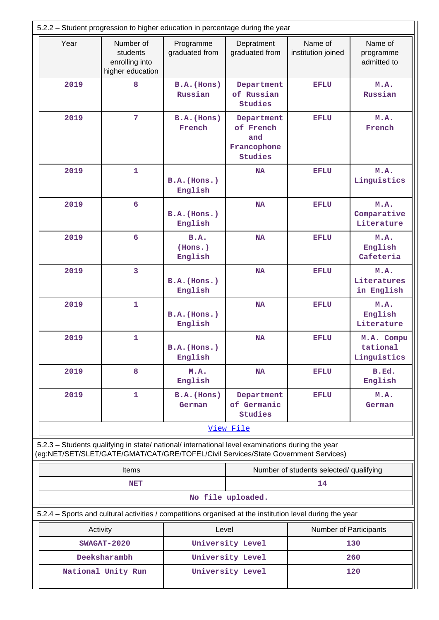| 5.2.2 - Student progression to higher education in percentage during the year |                                                                                                                                                                                        |                                     |                                                          |                                         |                                       |  |  |  |  |
|-------------------------------------------------------------------------------|----------------------------------------------------------------------------------------------------------------------------------------------------------------------------------------|-------------------------------------|----------------------------------------------------------|-----------------------------------------|---------------------------------------|--|--|--|--|
| Year                                                                          | Number of<br>students<br>enrolling into<br>higher education                                                                                                                            | Programme<br>graduated from         | Depratment<br>graduated from                             | Name of<br>institution joined           | Name of<br>programme<br>admitted to   |  |  |  |  |
| 2019                                                                          | 8                                                                                                                                                                                      | $B.A.$ (Hons)<br>Russian            | Department<br>of Russian<br><b>Studies</b>               | <b>EFLU</b>                             | M.A.<br>Russian                       |  |  |  |  |
| 2019                                                                          | 7                                                                                                                                                                                      | B.A. (Hons)<br>French               | Department<br>of French<br>and<br>Francophone<br>Studies | <b>EFLU</b>                             | M.A.<br>French                        |  |  |  |  |
| 2019                                                                          | $\mathbf{1}$                                                                                                                                                                           | B.A.(Hons.)<br>English              | <b>NA</b>                                                | <b>EFLU</b>                             | M.A.<br>Linguistics                   |  |  |  |  |
| 2019                                                                          | 6                                                                                                                                                                                      | B.A.(Hons.)<br>English              | <b>NA</b>                                                | <b>EFLU</b>                             | M.A.<br>Comparative<br>Literature     |  |  |  |  |
| 2019                                                                          | $6\phantom{1}$                                                                                                                                                                         | B.A.<br>(Hons.)<br>English          | <b>NA</b>                                                | <b>EFLU</b>                             | M.A.<br>English<br>Cafeteria          |  |  |  |  |
| 2019                                                                          | 3                                                                                                                                                                                      | B.A. (Hons.)<br>English             | <b>NA</b>                                                | EFLU                                    | M.A.<br>Literatures<br>in English     |  |  |  |  |
| 2019                                                                          | $\mathbf{1}$<br>B.A. (Hons.)<br>English                                                                                                                                                |                                     | <b>NA</b>                                                | EFLU                                    | M.A.<br>English<br>Literature         |  |  |  |  |
| 2019                                                                          | 1                                                                                                                                                                                      | <b>NA</b><br>B.A.(Hons.)<br>English |                                                          | <b>EFLU</b>                             | M.A. Compu<br>tational<br>Linguistics |  |  |  |  |
| 2019                                                                          | 8                                                                                                                                                                                      | M.A.<br>English                     | <b>NA</b>                                                | <b>EFLU</b>                             | B.Ed.<br>English                      |  |  |  |  |
| 2019                                                                          | 1                                                                                                                                                                                      | B.A. (Hons)<br>German               | Department<br>of Germanic<br><b>Studies</b>              | <b>EFLU</b>                             | M.A.<br>German                        |  |  |  |  |
|                                                                               |                                                                                                                                                                                        |                                     | View File                                                |                                         |                                       |  |  |  |  |
|                                                                               | 5.2.3 - Students qualifying in state/ national/ international level examinations during the year<br>(eg:NET/SET/SLET/GATE/GMAT/CAT/GRE/TOFEL/Civil Services/State Government Services) |                                     |                                                          |                                         |                                       |  |  |  |  |
|                                                                               | <b>Items</b>                                                                                                                                                                           |                                     |                                                          | Number of students selected/ qualifying |                                       |  |  |  |  |
|                                                                               | <b>NET</b>                                                                                                                                                                             |                                     | No file uploaded.                                        | 14                                      |                                       |  |  |  |  |
|                                                                               | 5.2.4 – Sports and cultural activities / competitions organised at the institution level during the year                                                                               |                                     |                                                          |                                         |                                       |  |  |  |  |
|                                                                               | Activity                                                                                                                                                                               | Level                               |                                                          | Number of Participants                  |                                       |  |  |  |  |
|                                                                               | $SWAGAT-2020$                                                                                                                                                                          |                                     | University Level                                         |                                         | 130                                   |  |  |  |  |
|                                                                               | Deeksharambh                                                                                                                                                                           |                                     | University Level                                         |                                         | 260                                   |  |  |  |  |
|                                                                               | National Unity Run                                                                                                                                                                     |                                     | University Level                                         |                                         | 120                                   |  |  |  |  |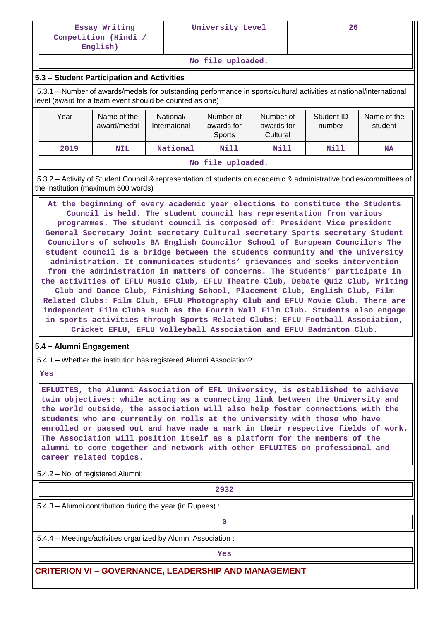**English)**

**No file uploaded.**

### **5.3 – Student Participation and Activities**

 5.3.1 – Number of awards/medals for outstanding performance in sports/cultural activities at national/international level (award for a team event should be counted as one)

| Year | Name of the<br>award/medal | National/<br>Internaional | Number of<br>awards for<br><b>Sports</b> | Number of<br>awards for<br>Cultural | Student ID<br>number | Name of the<br>student |  |  |  |  |  |
|------|----------------------------|---------------------------|------------------------------------------|-------------------------------------|----------------------|------------------------|--|--|--|--|--|
| 2019 | <b>NIL</b>                 | National                  | Nill                                     | Nill                                | Nill                 | <b>NA</b>              |  |  |  |  |  |
|      | No file uploaded.          |                           |                                          |                                     |                      |                        |  |  |  |  |  |

 5.3.2 – Activity of Student Council & representation of students on academic & administrative bodies/committees of the institution (maximum 500 words)

 **At the beginning of every academic year elections to constitute the Students Council is held. The student council has representation from various programmes. The student council is composed of: President Vice president General Secretary Joint secretary Cultural secretary Sports secretary Student Councilors of schools BA English Councilor School of European Councilors The student council is a bridge between the students community and the university administration. It communicates students' grievances and seeks intervention from the administration in matters of concerns. The Students' participate in the activities of EFLU Music Club, EFLU Theatre Club, Debate Quiz Club, Writing Club and Dance Club, Finishing School, Placement Club, English Club, Film Related Clubs: Film Club, EFLU Photography Club and EFLU Movie Club. There are independent Film Clubs such as the Fourth Wall Film Club. Students also engage in sports activities through Sports Related Clubs: EFLU Football Association, Cricket EFLU, EFLU Volleyball Association and EFLU Badminton Club.**

### **5.4 – Alumni Engagement**

5.4.1 – Whether the institution has registered Alumni Association?

 **Yes**

 **EFLUITES, the Alumni Association of EFL University, is established to achieve twin objectives: while acting as a connecting link between the University and the world outside, the association will also help foster connections with the students who are currently on rolls at the university with those who have enrolled or passed out and have made a mark in their respective fields of work. The Association will position itself as a platform for the members of the alumni to come together and network with other EFLUITES on professional and career related topics.**

5.4.2 – No. of registered Alumni:

**2932**

5.4.3 – Alumni contribution during the year (in Rupees) :

**0**

5.4.4 – Meetings/activities organized by Alumni Association :

*Yes* 

**CRITERION VI – GOVERNANCE, LEADERSHIP AND MANAGEMENT**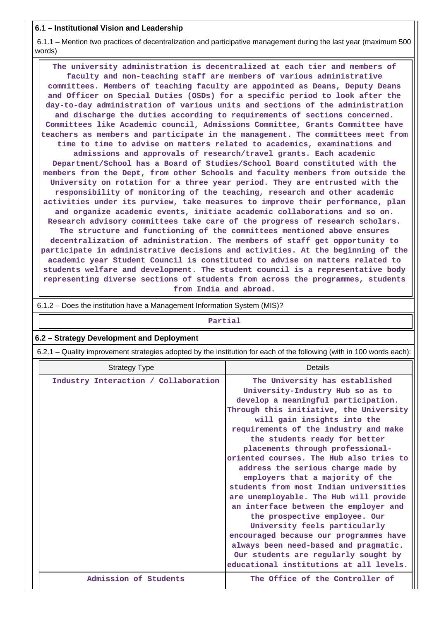**6.1 – Institutional Vision and Leadership**

 6.1.1 – Mention two practices of decentralization and participative management during the last year (maximum 500 words)

 **The university administration is decentralized at each tier and members of faculty and non-teaching staff are members of various administrative committees. Members of teaching faculty are appointed as Deans, Deputy Deans and Officer on Special Duties (OSDs) for a specific period to look after the day-to-day administration of various units and sections of the administration and discharge the duties according to requirements of sections concerned. Committees like Academic council, Admissions Committee, Grants Committee have teachers as members and participate in the management. The committees meet from time to time to advise on matters related to academics, examinations and admissions and approvals of research/travel grants. Each academic Department/School has a Board of Studies/School Board constituted with the members from the Dept, from other Schools and faculty members from outside the University on rotation for a three year period. They are entrusted with the responsibility of monitoring of the teaching, research and other academic activities under its purview, take measures to improve their performance, plan and organize academic events, initiate academic collaborations and so on. Research advisory committees take care of the progress of research scholars. The structure and functioning of the committees mentioned above ensures decentralization of administration. The members of staff get opportunity to participate in administrative decisions and activities. At the beginning of the academic year Student Council is constituted to advise on matters related to students welfare and development. The student council is a representative body representing diverse sections of students from across the programmes, students from India and abroad.**

| Partial                                                                                                               |                                                                                                                                                                                                                                                                                                                                                                                                                                                                                                                                                                                                                                                                                                                                                                                             |  |  |  |  |  |  |  |  |  |
|-----------------------------------------------------------------------------------------------------------------------|---------------------------------------------------------------------------------------------------------------------------------------------------------------------------------------------------------------------------------------------------------------------------------------------------------------------------------------------------------------------------------------------------------------------------------------------------------------------------------------------------------------------------------------------------------------------------------------------------------------------------------------------------------------------------------------------------------------------------------------------------------------------------------------------|--|--|--|--|--|--|--|--|--|
| 6.2 - Strategy Development and Deployment                                                                             |                                                                                                                                                                                                                                                                                                                                                                                                                                                                                                                                                                                                                                                                                                                                                                                             |  |  |  |  |  |  |  |  |  |
| 6.2.1 – Quality improvement strategies adopted by the institution for each of the following (with in 100 words each): |                                                                                                                                                                                                                                                                                                                                                                                                                                                                                                                                                                                                                                                                                                                                                                                             |  |  |  |  |  |  |  |  |  |
| <b>Strategy Type</b>                                                                                                  | Details                                                                                                                                                                                                                                                                                                                                                                                                                                                                                                                                                                                                                                                                                                                                                                                     |  |  |  |  |  |  |  |  |  |
| Industry Interaction / Collaboration                                                                                  | The University has established<br>University-Industry Hub so as to<br>develop a meaningful participation.<br>Through this initiative, the University<br>will gain insights into the<br>requirements of the industry and make<br>the students ready for better<br>placements through professional-<br>oriented courses. The Hub also tries to<br>address the serious charge made by<br>employers that a majority of the<br>students from most Indian universities<br>are unemployable. The Hub will provide<br>an interface between the employer and<br>the prospective employee. Our<br>University feels particularly<br>encouraged because our programmes have<br>always been need-based and pragmatic.<br>Our students are regularly sought by<br>educational institutions at all levels. |  |  |  |  |  |  |  |  |  |
| Admission of Students                                                                                                 | The Office of the Controller of                                                                                                                                                                                                                                                                                                                                                                                                                                                                                                                                                                                                                                                                                                                                                             |  |  |  |  |  |  |  |  |  |

6.1.2 – Does the institution have a Management Information System (MIS)?

 $\mathbf{1}$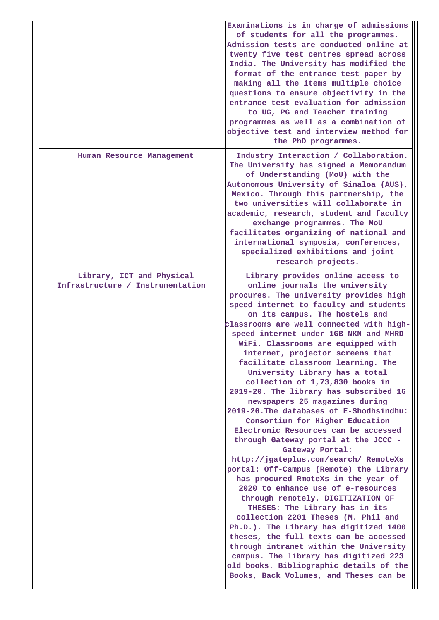|                                                               | Examinations is in charge of admissions<br>of students for all the programmes.<br>Admission tests are conducted online at<br>twenty five test centres spread across<br>India. The University has modified the<br>format of the entrance test paper by<br>making all the items multiple choice<br>questions to ensure objectivity in the<br>entrance test evaluation for admission<br>to UG, PG and Teacher training<br>programmes as well as a combination of<br>objective test and interview method for<br>the PhD programmes.                                                                                                                                                                                                                                                                                                                                                                                                                                                                                                                                                                                                                                                                                                                                              |
|---------------------------------------------------------------|------------------------------------------------------------------------------------------------------------------------------------------------------------------------------------------------------------------------------------------------------------------------------------------------------------------------------------------------------------------------------------------------------------------------------------------------------------------------------------------------------------------------------------------------------------------------------------------------------------------------------------------------------------------------------------------------------------------------------------------------------------------------------------------------------------------------------------------------------------------------------------------------------------------------------------------------------------------------------------------------------------------------------------------------------------------------------------------------------------------------------------------------------------------------------------------------------------------------------------------------------------------------------|
| Human Resource Management                                     | Industry Interaction / Collaboration.<br>The University has signed a Memorandum<br>of Understanding (MoU) with the<br>Autonomous University of Sinaloa (AUS),<br>Mexico. Through this partnership, the<br>two universities will collaborate in<br>academic, research, student and faculty<br>exchange programmes. The MoU<br>facilitates organizing of national and<br>international symposia, conferences,<br>specialized exhibitions and joint<br>research projects.                                                                                                                                                                                                                                                                                                                                                                                                                                                                                                                                                                                                                                                                                                                                                                                                       |
| Library, ICT and Physical<br>Infrastructure / Instrumentation | Library provides online access to<br>online journals the university<br>procures. The university provides high<br>speed internet to faculty and students<br>on its campus. The hostels and<br>classrooms are well connected with high-<br>speed internet under 1GB NKN and MHRD<br>WiFi. Classrooms are equipped with<br>internet, projector screens that<br>facilitate classroom learning. The<br>University Library has a total<br>collection of 1,73,830 books in<br>2019-20. The library has subscribed 16<br>newspapers 25 magazines during<br>2019-20. The databases of E-Shodhsindhu:<br>Consortium for Higher Education<br>Electronic Resources can be accessed<br>through Gateway portal at the JCCC -<br>Gateway Portal:<br>http://jgateplus.com/search/ RemoteXs<br>portal: Off-Campus (Remote) the Library<br>has procured RmoteXs in the year of<br>2020 to enhance use of e-resources<br>through remotely. DIGITIZATION OF<br>THESES: The Library has in its<br>collection 2201 Theses (M. Phil and<br>Ph.D.). The Library has digitized 1400<br>theses, the full texts can be accessed<br>through intranet within the University<br>campus. The library has digitized 223<br>old books. Bibliographic details of the<br>Books, Back Volumes, and Theses can be |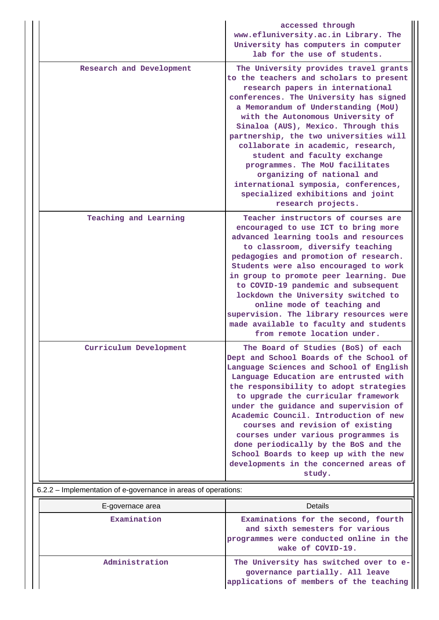|                                                                | accessed through<br>www.efluniversity.ac.in Library. The<br>University has computers in computer<br>lab for the use of students.                                                                                                                                                                                                                                                                                                                                                                                                                                      |
|----------------------------------------------------------------|-----------------------------------------------------------------------------------------------------------------------------------------------------------------------------------------------------------------------------------------------------------------------------------------------------------------------------------------------------------------------------------------------------------------------------------------------------------------------------------------------------------------------------------------------------------------------|
| Research and Development                                       | The University provides travel grants<br>to the teachers and scholars to present<br>research papers in international<br>conferences. The University has signed<br>a Memorandum of Understanding (MoU)<br>with the Autonomous University of<br>Sinaloa (AUS), Mexico. Through this<br>partnership, the two universities will<br>collaborate in academic, research,<br>student and faculty exchange<br>programmes. The MoU facilitates<br>organizing of national and<br>international symposia, conferences,<br>specialized exhibitions and joint<br>research projects. |
| Teaching and Learning                                          | Teacher instructors of courses are<br>encouraged to use ICT to bring more<br>advanced learning tools and resources<br>to classroom, diversify teaching<br>pedagogies and promotion of research.<br>Students were also encouraged to work<br>in group to promote peer learning. Due<br>to COVID-19 pandemic and subsequent<br>lockdown the University switched to<br>online mode of teaching and<br>supervision. The library resources were<br>made available to faculty and students<br>from remote location under.                                                   |
| Curriculum Development                                         | The Board of Studies (BoS) of each<br>Dept and School Boards of the School of<br>Language Sciences and School of English<br>Language Education are entrusted with<br>the responsibility to adopt strategies<br>to upgrade the curricular framework<br>under the guidance and supervision of<br>Academic Council. Introduction of new<br>courses and revision of existing<br>courses under various programmes is<br>done periodically by the BoS and the<br>School Boards to keep up with the new<br>developments in the concerned areas of<br>study.                  |
| 6.2.2 - Implementation of e-governance in areas of operations: |                                                                                                                                                                                                                                                                                                                                                                                                                                                                                                                                                                       |
| E-governace area                                               | <b>Details</b>                                                                                                                                                                                                                                                                                                                                                                                                                                                                                                                                                        |

| E-governace area | Details                                                                                                                                |
|------------------|----------------------------------------------------------------------------------------------------------------------------------------|
| Examination      | Examinations for the second, fourth<br>and sixth semesters for various<br>programmes were conducted online in the<br>wake of COVID-19. |
| Administration   | The University has switched over to e-<br>governance partially. All leave<br>applications of members of the teaching                   |

Ш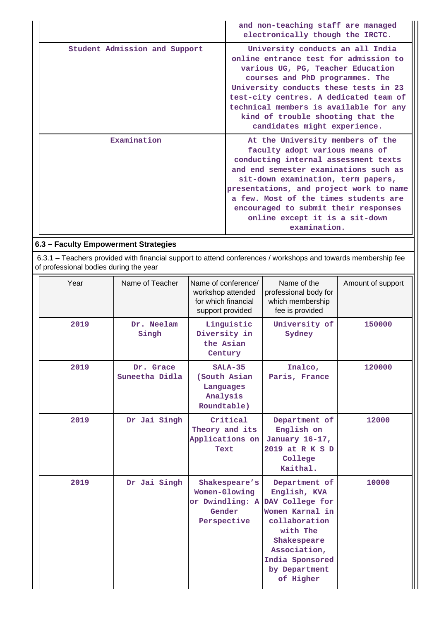|                               | and non-teaching staff are managed<br>electronically though the IRCTC.                                                                                                                                                                                                                                                                                                  |
|-------------------------------|-------------------------------------------------------------------------------------------------------------------------------------------------------------------------------------------------------------------------------------------------------------------------------------------------------------------------------------------------------------------------|
| Student Admission and Support | University conducts an all India<br>online entrance test for admission to<br>various UG, PG, Teacher Education<br>courses and PhD programmes. The<br>University conducts these tests in 23<br>test-city centres. A dedicated team of<br>technical members is available for any<br>kind of trouble shooting that the<br>candidates might experience.                     |
| Examination                   | At the University members of the<br>faculty adopt various means of<br>conducting internal assessment texts<br>and end semester examinations such as<br>sit-down examination, term papers,<br>presentations, and project work to name<br>a few. Most of the times students are<br>encouraged to submit their responses<br>online except it is a sit-down<br>examination. |

## **6.3 – Faculty Empowerment Strategies**

 6.3.1 – Teachers provided with financial support to attend conferences / workshops and towards membership fee of professional bodies during the year

| Year | Name of Teacher             | Name of conference/<br>workshop attended<br>for which financial<br>support provided | Name of the<br>professional body for<br>which membership<br>fee is provided                                                                                                      | Amount of support |
|------|-----------------------------|-------------------------------------------------------------------------------------|----------------------------------------------------------------------------------------------------------------------------------------------------------------------------------|-------------------|
| 2019 | Dr. Neelam<br>Singh         | Linguistic<br>Diversity in<br>the Asian<br>Century                                  | University of<br>Sydney                                                                                                                                                          | 150000            |
| 2019 | Dr. Grace<br>Suneetha Didla | $SALA-35$<br>(South Asian<br>Languages<br>Analysis<br>Roundtable)                   | Inalco,<br>Paris, France                                                                                                                                                         | 120000            |
| 2019 | Dr Jai Singh                | Critical<br>Theory and its<br>Applications on<br>Text                               | Department of<br>English on<br>January 16-17,<br>2019 at R K S D<br>College<br>Kaithal.                                                                                          | 12000             |
| 2019 | Dr Jai Singh                | Shakespeare's<br>Women-Glowing<br>or Dwindling: A<br>Gender<br>Perspective          | Department of<br>English, KVA<br>DAV College for<br>Women Karnal in<br>collaboration<br>with The<br>Shakespeare<br>Association,<br>India Sponsored<br>by Department<br>of Higher | 10000             |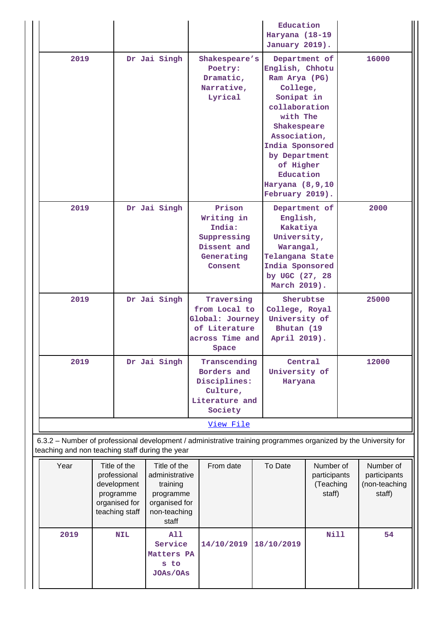|                                                                                                                                                                                                          |  |              |                                                  |                                                                                       | Education<br>Haryana (18-19<br>January 2019).                                               |                                                                                                                                           |                                                                                                                                                                                                                                             |      |       |
|----------------------------------------------------------------------------------------------------------------------------------------------------------------------------------------------------------|--|--------------|--------------------------------------------------|---------------------------------------------------------------------------------------|---------------------------------------------------------------------------------------------|-------------------------------------------------------------------------------------------------------------------------------------------|---------------------------------------------------------------------------------------------------------------------------------------------------------------------------------------------------------------------------------------------|------|-------|
| 2019                                                                                                                                                                                                     |  |              | Dr Jai Singh                                     |                                                                                       | Shakespeare's<br>Poetry:<br>Dramatic,<br>Narrative,<br>Lyrical                              |                                                                                                                                           | Department of<br>English, Chhotu<br>Ram Arya (PG)<br>College,<br>Sonipat in<br>collaboration<br>with The<br>Shakespeare<br>Association,<br>India Sponsored<br>by Department<br>of Higher<br>Education<br>Haryana (8,9,10<br>February 2019). |      | 16000 |
| 2019                                                                                                                                                                                                     |  | Dr Jai Singh |                                                  | Prison<br>Writing in<br>India:<br>Suppressing<br>Dissent and<br>Generating<br>Consent |                                                                                             | Department of<br>English,<br>Kakatiya<br>University,<br>Warangal,<br>Telangana State<br>India Sponsored<br>by UGC (27, 28<br>March 2019). |                                                                                                                                                                                                                                             | 2000 |       |
| 2019                                                                                                                                                                                                     |  |              | Dr Jai Singh                                     |                                                                                       | Traversing<br>from Local to<br>Global: Journey<br>of Literature<br>across Time and<br>Space |                                                                                                                                           | Sherubtse<br>College, Royal<br>University of<br>Bhutan (19<br>April 2019).                                                                                                                                                                  |      | 25000 |
| 2019                                                                                                                                                                                                     |  |              | Dr Jai Singh                                     |                                                                                       | Transcending<br>Borders and<br>Disciplines:<br>Culture,<br>Literature and<br>Society        |                                                                                                                                           | Central<br>University of<br>Haryana                                                                                                                                                                                                         |      | 12000 |
|                                                                                                                                                                                                          |  |              |                                                  |                                                                                       | View File                                                                                   |                                                                                                                                           |                                                                                                                                                                                                                                             |      |       |
| 6.3.2 - Number of professional development / administrative training programmes organized by the University for<br>teaching and non teaching staff during the year                                       |  |              |                                                  |                                                                                       |                                                                                             |                                                                                                                                           |                                                                                                                                                                                                                                             |      |       |
| Year<br>Title of the<br>Title of the<br>professional<br>administrative<br>development<br>training<br>programme<br>programme<br>organised for<br>organised for<br>teaching staff<br>non-teaching<br>staff |  |              | From date                                        |                                                                                       | To Date                                                                                     | Number of<br>participants<br>(Teaching<br>staff)                                                                                          | Number of<br>participants<br>(non-teaching<br>staff)                                                                                                                                                                                        |      |       |
| 2019                                                                                                                                                                                                     |  | <b>NIL</b>   | A11<br>Service<br>Matters PA<br>s to<br>JOAs/OAs |                                                                                       | 14/10/2019                                                                                  |                                                                                                                                           | 18/10/2019                                                                                                                                                                                                                                  | Nill | 54    |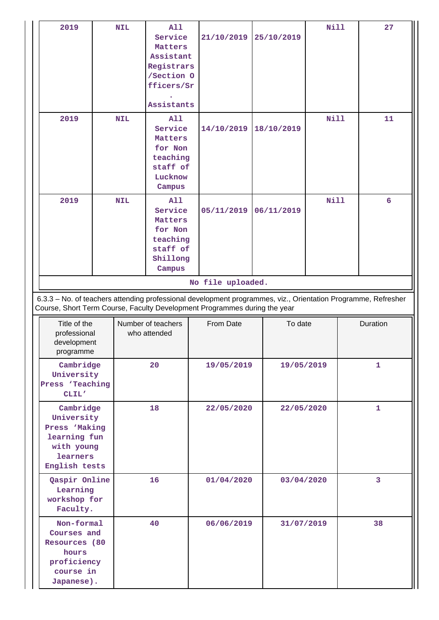| 2019                                                                                                | <b>NIL</b> | A11<br>Service<br><b>Matters</b><br>Assistant<br>Registrars<br>/Section 0<br>fficers/Sr<br>Assistants | 21/10/2019                                                                                                                                                                                 | 25/10/2019 | Nill        | 27           |
|-----------------------------------------------------------------------------------------------------|------------|-------------------------------------------------------------------------------------------------------|--------------------------------------------------------------------------------------------------------------------------------------------------------------------------------------------|------------|-------------|--------------|
| 2019                                                                                                | <b>NIL</b> | <b>A11</b><br>Service<br><b>Matters</b><br>for Non<br>teaching<br>staff of<br>Lucknow<br>Campus       | 14/10/2019                                                                                                                                                                                 | 18/10/2019 | Nill        | 11           |
| 2019                                                                                                | <b>NIL</b> | A11<br>Service<br><b>Matters</b><br>for Non<br>teaching<br>staff of<br>Shillong<br>Campus             | 05/11/2019                                                                                                                                                                                 | 06/11/2019 | <b>Nill</b> | 6            |
|                                                                                                     |            |                                                                                                       | No file uploaded.                                                                                                                                                                          |            |             |              |
|                                                                                                     |            |                                                                                                       | 6.3.3 - No. of teachers attending professional development programmes, viz., Orientation Programme, Refresher<br>Course, Short Term Course, Faculty Development Programmes during the year |            |             |              |
| Title of the<br>professional<br>development<br>programme                                            |            | Number of teachers<br>who attended                                                                    | From Date                                                                                                                                                                                  | To date    |             | Duration     |
| Cambridge<br>University<br>Press 'Teaching<br>CLIL'                                                 |            | 20                                                                                                    | 19/05/2019                                                                                                                                                                                 | 19/05/2019 |             | $\mathbf{1}$ |
| Cambridge<br>University<br>Press 'Making<br>learning fun<br>with young<br>learners<br>English tests |            | 18                                                                                                    | 22/05/2020                                                                                                                                                                                 | 22/05/2020 |             | $\mathbf{1}$ |
| Qaspir Online<br>Learning<br>workshop for<br>Faculty.                                               |            | 16                                                                                                    | 01/04/2020                                                                                                                                                                                 | 03/04/2020 |             | 3            |
| Non-formal<br>Courses and<br>Resources (80<br>hours<br>proficiency<br>course in<br>Japanese).       |            | 40                                                                                                    | 06/06/2019                                                                                                                                                                                 | 31/07/2019 |             | 38           |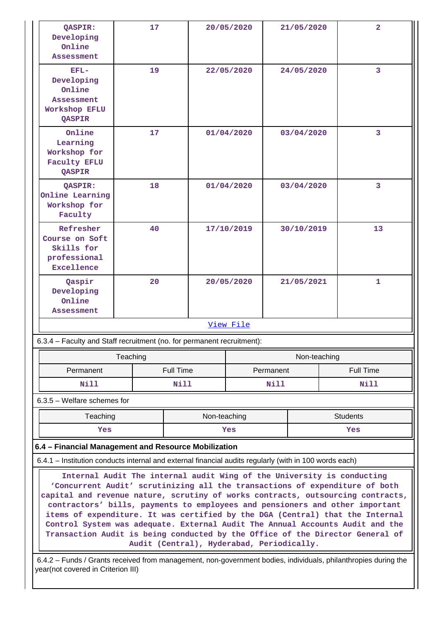| <b>OASPIR:</b><br>Developing<br>Online<br>Assessment                                                                                                                                                                                                                                                                                                                                                                                                                                                                                                                                                                     | 17                                                                     |             | 20/05/2020 |  | 21/05/2020 |              |  | $\overline{2}$ |  |
|--------------------------------------------------------------------------------------------------------------------------------------------------------------------------------------------------------------------------------------------------------------------------------------------------------------------------------------------------------------------------------------------------------------------------------------------------------------------------------------------------------------------------------------------------------------------------------------------------------------------------|------------------------------------------------------------------------|-------------|------------|--|------------|--------------|--|----------------|--|
| $EFL-$<br>Developing<br>Online<br>Assessment<br>Workshop EFLU<br>QASPIR                                                                                                                                                                                                                                                                                                                                                                                                                                                                                                                                                  | 19                                                                     |             | 22/05/2020 |  | 24/05/2020 |              |  | $\overline{3}$ |  |
| Online<br>Learning<br>Workshop for<br><b>Faculty EFLU</b><br>QASPIR                                                                                                                                                                                                                                                                                                                                                                                                                                                                                                                                                      | 17                                                                     |             | 01/04/2020 |  | 03/04/2020 |              |  | 3              |  |
| QASPIR:<br>Online Learning<br>Workshop for<br>Faculty                                                                                                                                                                                                                                                                                                                                                                                                                                                                                                                                                                    | 18                                                                     |             | 01/04/2020 |  | 03/04/2020 |              |  | 3              |  |
| Refresher<br>Course on Soft<br>Skills for<br>professional<br><b>Excellence</b>                                                                                                                                                                                                                                                                                                                                                                                                                                                                                                                                           | 40                                                                     |             | 17/10/2019 |  | 30/10/2019 |              |  | 13             |  |
| Qaspir<br>Developing<br>Online<br><b>Assessment</b>                                                                                                                                                                                                                                                                                                                                                                                                                                                                                                                                                                      | 20                                                                     |             | 20/05/2020 |  | 21/05/2021 |              |  | 1              |  |
| View File                                                                                                                                                                                                                                                                                                                                                                                                                                                                                                                                                                                                                |                                                                        |             |            |  |            |              |  |                |  |
|                                                                                                                                                                                                                                                                                                                                                                                                                                                                                                                                                                                                                          | 6.3.4 - Faculty and Staff recruitment (no. for permanent recruitment): |             |            |  |            |              |  |                |  |
|                                                                                                                                                                                                                                                                                                                                                                                                                                                                                                                                                                                                                          | Teaching                                                               |             |            |  |            | Non-teaching |  |                |  |
|                                                                                                                                                                                                                                                                                                                                                                                                                                                                                                                                                                                                                          | <b>Full Time</b><br><b>Full Time</b><br>Permanent<br>Permanent         |             |            |  |            |              |  |                |  |
| Nill                                                                                                                                                                                                                                                                                                                                                                                                                                                                                                                                                                                                                     |                                                                        | <b>Nill</b> |            |  | Nill       |              |  | Nill           |  |
| $6.3.5$ – Welfare schemes for                                                                                                                                                                                                                                                                                                                                                                                                                                                                                                                                                                                            |                                                                        |             |            |  |            |              |  |                |  |
|                                                                                                                                                                                                                                                                                                                                                                                                                                                                                                                                                                                                                          | Teaching<br>Non-teaching<br><b>Students</b>                            |             |            |  |            |              |  |                |  |
| Yes<br>Yes<br>Yes                                                                                                                                                                                                                                                                                                                                                                                                                                                                                                                                                                                                        |                                                                        |             |            |  |            |              |  |                |  |
| 6.4 - Financial Management and Resource Mobilization                                                                                                                                                                                                                                                                                                                                                                                                                                                                                                                                                                     |                                                                        |             |            |  |            |              |  |                |  |
| 6.4.1 - Institution conducts internal and external financial audits regularly (with in 100 words each)                                                                                                                                                                                                                                                                                                                                                                                                                                                                                                                   |                                                                        |             |            |  |            |              |  |                |  |
| Internal Audit The internal audit Wing of the University is conducting<br>'Concurrent Audit' scrutinizing all the transactions of expenditure of both<br>capital and revenue nature, scrutiny of works contracts, outsourcing contracts,<br>contractors' bills, payments to employees and pensioners and other important<br>items of expenditure. It was certified by the DGA (Central) that the Internal<br>Control System was adequate. External Audit The Annual Accounts Audit and the<br>Transaction Audit is being conducted by the Office of the Director General of<br>Audit (Central), Hyderabad, Periodically. |                                                                        |             |            |  |            |              |  |                |  |
| 6.4.2 – Funds / Grants received from management, non-government bodies, individuals, philanthropies during the<br>year(not covered in Criterion III)                                                                                                                                                                                                                                                                                                                                                                                                                                                                     |                                                                        |             |            |  |            |              |  |                |  |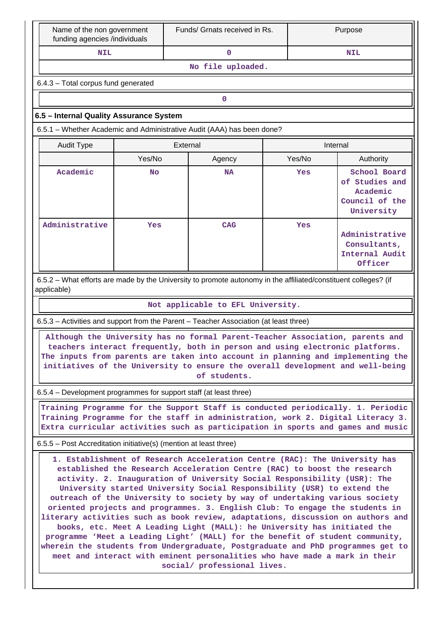| Name of the non government<br>funding agencies /individuals                                                                                                                                                                                                                                                                                                                                                                                                                                                                                                                                                                                                                                                                                                                                                                                                                                                                  |                                     | Funds/ Grnats received in Rs.                                                                                   |        | Purpose                                                                    |  |  |  |  |  |
|------------------------------------------------------------------------------------------------------------------------------------------------------------------------------------------------------------------------------------------------------------------------------------------------------------------------------------------------------------------------------------------------------------------------------------------------------------------------------------------------------------------------------------------------------------------------------------------------------------------------------------------------------------------------------------------------------------------------------------------------------------------------------------------------------------------------------------------------------------------------------------------------------------------------------|-------------------------------------|-----------------------------------------------------------------------------------------------------------------|--------|----------------------------------------------------------------------------|--|--|--|--|--|
| <b>NIL</b>                                                                                                                                                                                                                                                                                                                                                                                                                                                                                                                                                                                                                                                                                                                                                                                                                                                                                                                   |                                     | $\mathbf{0}$                                                                                                    |        | <b>NIL</b>                                                                 |  |  |  |  |  |
|                                                                                                                                                                                                                                                                                                                                                                                                                                                                                                                                                                                                                                                                                                                                                                                                                                                                                                                              | No file uploaded.                   |                                                                                                                 |        |                                                                            |  |  |  |  |  |
|                                                                                                                                                                                                                                                                                                                                                                                                                                                                                                                                                                                                                                                                                                                                                                                                                                                                                                                              | 6.4.3 - Total corpus fund generated |                                                                                                                 |        |                                                                            |  |  |  |  |  |
|                                                                                                                                                                                                                                                                                                                                                                                                                                                                                                                                                                                                                                                                                                                                                                                                                                                                                                                              |                                     | 0                                                                                                               |        |                                                                            |  |  |  |  |  |
| 6.5 - Internal Quality Assurance System                                                                                                                                                                                                                                                                                                                                                                                                                                                                                                                                                                                                                                                                                                                                                                                                                                                                                      |                                     |                                                                                                                 |        |                                                                            |  |  |  |  |  |
|                                                                                                                                                                                                                                                                                                                                                                                                                                                                                                                                                                                                                                                                                                                                                                                                                                                                                                                              |                                     | 6.5.1 - Whether Academic and Administrative Audit (AAA) has been done?                                          |        |                                                                            |  |  |  |  |  |
| <b>Audit Type</b>                                                                                                                                                                                                                                                                                                                                                                                                                                                                                                                                                                                                                                                                                                                                                                                                                                                                                                            |                                     | External                                                                                                        |        | Internal                                                                   |  |  |  |  |  |
|                                                                                                                                                                                                                                                                                                                                                                                                                                                                                                                                                                                                                                                                                                                                                                                                                                                                                                                              | Yes/No                              | Agency                                                                                                          | Yes/No | Authority                                                                  |  |  |  |  |  |
| Academic                                                                                                                                                                                                                                                                                                                                                                                                                                                                                                                                                                                                                                                                                                                                                                                                                                                                                                                     | No                                  | NA                                                                                                              | Yes    | School Board<br>of Studies and<br>Academic<br>Council of the<br>University |  |  |  |  |  |
| Administrative                                                                                                                                                                                                                                                                                                                                                                                                                                                                                                                                                                                                                                                                                                                                                                                                                                                                                                               | Yes                                 | <b>CAG</b>                                                                                                      | Yes    | Administrative<br>Consultants,<br>Internal Audit<br>Officer                |  |  |  |  |  |
| applicable)                                                                                                                                                                                                                                                                                                                                                                                                                                                                                                                                                                                                                                                                                                                                                                                                                                                                                                                  |                                     | 6.5.2 – What efforts are made by the University to promote autonomy in the affiliated/constituent colleges? (if |        |                                                                            |  |  |  |  |  |
| Not applicable to EFL University.                                                                                                                                                                                                                                                                                                                                                                                                                                                                                                                                                                                                                                                                                                                                                                                                                                                                                            |                                     |                                                                                                                 |        |                                                                            |  |  |  |  |  |
|                                                                                                                                                                                                                                                                                                                                                                                                                                                                                                                                                                                                                                                                                                                                                                                                                                                                                                                              |                                     | 6.5.3 – Activities and support from the Parent – Teacher Association (at least three)                           |        |                                                                            |  |  |  |  |  |
| Although the University has no formal Parent-Teacher Association, parents and<br>teachers interact frequently, both in person and using electronic platforms.<br>The inputs from parents are taken into account in planning and implementing the<br>initiatives of the University to ensure the overall development and well-being<br>of students.                                                                                                                                                                                                                                                                                                                                                                                                                                                                                                                                                                           |                                     |                                                                                                                 |        |                                                                            |  |  |  |  |  |
| 6.5.4 – Development programmes for support staff (at least three)                                                                                                                                                                                                                                                                                                                                                                                                                                                                                                                                                                                                                                                                                                                                                                                                                                                            |                                     |                                                                                                                 |        |                                                                            |  |  |  |  |  |
| Training Programme for the Support Staff is conducted periodically. 1. Periodic<br>Training Programme for the staff in administration, work 2. Digital Literacy 3.<br>Extra curricular activities such as participation in sports and games and music                                                                                                                                                                                                                                                                                                                                                                                                                                                                                                                                                                                                                                                                        |                                     |                                                                                                                 |        |                                                                            |  |  |  |  |  |
| 6.5.5 – Post Accreditation initiative(s) (mention at least three)                                                                                                                                                                                                                                                                                                                                                                                                                                                                                                                                                                                                                                                                                                                                                                                                                                                            |                                     |                                                                                                                 |        |                                                                            |  |  |  |  |  |
| 1. Establishment of Research Acceleration Centre (RAC): The University has<br>established the Research Acceleration Centre (RAC) to boost the research<br>activity. 2. Inauguration of University Social Responsibility (USR): The<br>University started University Social Responsibility (USR) to extend the<br>outreach of the University to society by way of undertaking various society<br>oriented projects and programmes. 3. English Club: To engage the students in<br>literary activities such as book review, adaptations, discussion on authors and<br>books, etc. Meet A Leading Light (MALL): he University has initiated the<br>programme 'Meet a Leading Light' (MALL) for the benefit of student community,<br>wherein the students from Undergraduate, Postgraduate and PhD programmes get to<br>meet and interact with eminent personalities who have made a mark in their<br>social/ professional lives. |                                     |                                                                                                                 |        |                                                                            |  |  |  |  |  |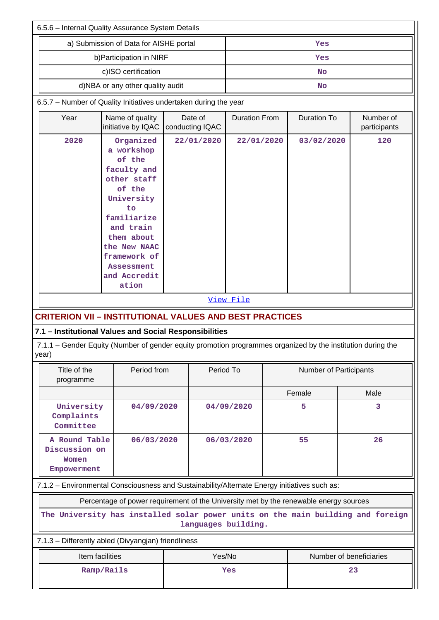| 6.5.6 - Internal Quality Assurance System Details                                                      |                                                                                                                                                                                                                       |                                                                                                                                                                                                                                                                                  |                            |                      |                    |                               |                           |  |
|--------------------------------------------------------------------------------------------------------|-----------------------------------------------------------------------------------------------------------------------------------------------------------------------------------------------------------------------|----------------------------------------------------------------------------------------------------------------------------------------------------------------------------------------------------------------------------------------------------------------------------------|----------------------------|----------------------|--------------------|-------------------------------|---------------------------|--|
|                                                                                                        | a) Submission of Data for AISHE portal                                                                                                                                                                                |                                                                                                                                                                                                                                                                                  | Yes                        |                      |                    |                               |                           |  |
| b) Participation in NIRF                                                                               | Yes                                                                                                                                                                                                                   |                                                                                                                                                                                                                                                                                  |                            |                      |                    |                               |                           |  |
| c)ISO certification                                                                                    |                                                                                                                                                                                                                       |                                                                                                                                                                                                                                                                                  | <b>No</b>                  |                      |                    |                               |                           |  |
| d)NBA or any other quality audit                                                                       |                                                                                                                                                                                                                       |                                                                                                                                                                                                                                                                                  | <b>No</b>                  |                      |                    |                               |                           |  |
| 6.5.7 - Number of Quality Initiatives undertaken during the year                                       |                                                                                                                                                                                                                       |                                                                                                                                                                                                                                                                                  |                            |                      |                    |                               |                           |  |
| Year                                                                                                   | Name of quality<br>initiative by IQAC                                                                                                                                                                                 |                                                                                                                                                                                                                                                                                  | Date of<br>conducting IQAC | <b>Duration From</b> | <b>Duration To</b> |                               | Number of<br>participants |  |
| 2020<br>year)                                                                                          | Organized<br>a workshop<br>of the<br>faculty and<br>other staff<br>of the<br>University<br>to<br>familiarize<br>and train<br>them about<br>the New NAAC<br>framework of<br><b>Assessment</b><br>and Accredit<br>ation | 22/01/2020<br>22/01/2020<br>View File<br><b>CRITERION VII - INSTITUTIONAL VALUES AND BEST PRACTICES</b><br>7.1 - Institutional Values and Social Responsibilities<br>7.1.1 – Gender Equity (Number of gender equity promotion programmes organized by the institution during the |                            |                      |                    | 120<br>03/02/2020             |                           |  |
| Title of the<br>Period from<br>programme                                                               |                                                                                                                                                                                                                       |                                                                                                                                                                                                                                                                                  |                            | Period To            |                    | <b>Number of Participants</b> |                           |  |
|                                                                                                        |                                                                                                                                                                                                                       |                                                                                                                                                                                                                                                                                  |                            |                      |                    | Female                        | Male                      |  |
| University<br>Complaints<br>Committee                                                                  | 04/09/2020                                                                                                                                                                                                            |                                                                                                                                                                                                                                                                                  |                            | 04/09/2020           |                    | 5                             | 3                         |  |
| A Round Table<br>06/03/2020<br>Discussion on<br>Women<br>Empowerment                                   |                                                                                                                                                                                                                       |                                                                                                                                                                                                                                                                                  |                            | 06/03/2020           |                    | 55                            | 26                        |  |
| 7.1.2 - Environmental Consciousness and Sustainability/Alternate Energy initiatives such as:           |                                                                                                                                                                                                                       |                                                                                                                                                                                                                                                                                  |                            |                      |                    |                               |                           |  |
| Percentage of power requirement of the University met by the renewable energy sources                  |                                                                                                                                                                                                                       |                                                                                                                                                                                                                                                                                  |                            |                      |                    |                               |                           |  |
| The University has installed solar power units on the main building and foreign<br>languages building. |                                                                                                                                                                                                                       |                                                                                                                                                                                                                                                                                  |                            |                      |                    |                               |                           |  |
| 7.1.3 - Differently abled (Divyangjan) friendliness                                                    |                                                                                                                                                                                                                       |                                                                                                                                                                                                                                                                                  |                            |                      |                    |                               |                           |  |
| Yes/No<br>Number of beneficiaries<br>Item facilities                                                   |                                                                                                                                                                                                                       |                                                                                                                                                                                                                                                                                  |                            |                      |                    |                               |                           |  |
| Ramp/Rails<br>Yes<br>23                                                                                |                                                                                                                                                                                                                       |                                                                                                                                                                                                                                                                                  |                            |                      |                    |                               |                           |  |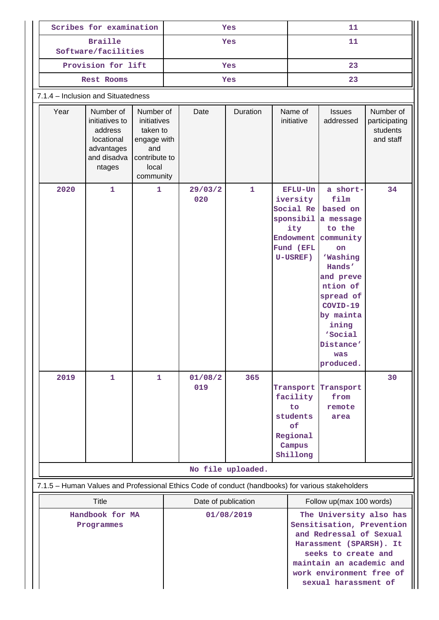|                                                                                    | Scribes for examination                                                                           |                                                                                             | Yes                                                                                               |                                                                                                                                                                                                                                               |                | 11           |                                                                                 |                                                                                                   |                                                                                                                                                                                                                               |                                                     |
|------------------------------------------------------------------------------------|---------------------------------------------------------------------------------------------------|---------------------------------------------------------------------------------------------|---------------------------------------------------------------------------------------------------|-----------------------------------------------------------------------------------------------------------------------------------------------------------------------------------------------------------------------------------------------|----------------|--------------|---------------------------------------------------------------------------------|---------------------------------------------------------------------------------------------------|-------------------------------------------------------------------------------------------------------------------------------------------------------------------------------------------------------------------------------|-----------------------------------------------------|
|                                                                                    | <b>Braille</b><br>Software/facilities                                                             |                                                                                             | <b>Yes</b>                                                                                        |                                                                                                                                                                                                                                               |                | 11           |                                                                                 |                                                                                                   |                                                                                                                                                                                                                               |                                                     |
|                                                                                    | Provision for lift                                                                                |                                                                                             |                                                                                                   | Yes                                                                                                                                                                                                                                           |                |              |                                                                                 | 23                                                                                                |                                                                                                                                                                                                                               |                                                     |
|                                                                                    | Rest Rooms                                                                                        |                                                                                             |                                                                                                   |                                                                                                                                                                                                                                               | Yes            |              |                                                                                 | 23                                                                                                |                                                                                                                                                                                                                               |                                                     |
|                                                                                    | 7.1.4 - Inclusion and Situatedness                                                                |                                                                                             |                                                                                                   |                                                                                                                                                                                                                                               |                |              |                                                                                 |                                                                                                   |                                                                                                                                                                                                                               |                                                     |
|                                                                                    | Year                                                                                              | Number of<br>initiatives to<br>address<br>locational<br>advantages<br>and disadva<br>ntages | Number of<br>initiatives<br>taken to<br>engage with<br>and<br>contribute to<br>local<br>community |                                                                                                                                                                                                                                               | Date           | Duration     |                                                                                 | Name of<br>initiative                                                                             | <b>Issues</b><br>addressed                                                                                                                                                                                                    | Number of<br>participating<br>students<br>and staff |
|                                                                                    | 2020                                                                                              | 1                                                                                           | $\mathbf{1}$                                                                                      |                                                                                                                                                                                                                                               | 29/03/2<br>020 | $\mathbf{1}$ |                                                                                 | EFLU-Un<br>iversity<br>Social Re<br>sponsibil<br>ity<br>Endowment<br>Fund (EFL<br><b>U-USREF)</b> | a short-<br>film<br>based on<br>a message<br>to the<br>community<br><b>on</b><br><b>Washing</b><br>Hands'<br>and preve<br>ntion of<br>spread of<br>COVID-19<br>by mainta<br>ining<br>'Social<br>Distance'<br>was<br>produced. | 34                                                  |
|                                                                                    | 2019                                                                                              | 1                                                                                           | 1                                                                                                 |                                                                                                                                                                                                                                               | 01/08/2<br>019 | 365          | Transport<br>facility<br>to<br>students<br>оf<br>Regional<br>Campus<br>Shillong |                                                                                                   | Transport<br>from<br>remote<br>area                                                                                                                                                                                           | 30                                                  |
|                                                                                    | No file uploaded.                                                                                 |                                                                                             |                                                                                                   |                                                                                                                                                                                                                                               |                |              |                                                                                 |                                                                                                   |                                                                                                                                                                                                                               |                                                     |
|                                                                                    | 7.1.5 - Human Values and Professional Ethics Code of conduct (handbooks) for various stakeholders |                                                                                             |                                                                                                   |                                                                                                                                                                                                                                               |                |              |                                                                                 |                                                                                                   |                                                                                                                                                                                                                               |                                                     |
| <b>Title</b><br>Date of publication<br>Handbook for MA<br>01/08/2019<br>Programmes |                                                                                                   |                                                                                             |                                                                                                   | Follow up(max 100 words)<br>The University also has<br>Sensitisation, Prevention<br>and Redressal of Sexual<br>Harassment (SPARSH). It<br>seeks to create and<br>maintain an academic and<br>work environment free of<br>sexual harassment of |                |              |                                                                                 |                                                                                                   |                                                                                                                                                                                                                               |                                                     |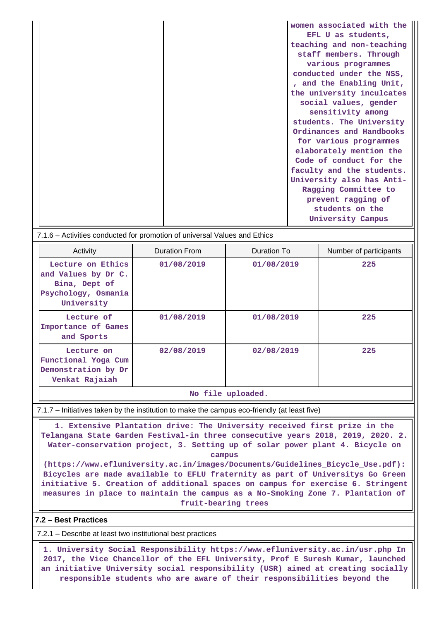**women associated with the EFL U as students, teaching and non-teaching staff members. Through various programmes conducted under the NSS, , and the Enabling Unit, the university inculcates social values, gender sensitivity among students. The University Ordinances and Handbooks for various programmes elaborately mention the Code of conduct for the faculty and the students. University also has Anti-Ragging Committee to prevent ragging of students on the University Campus**

#### 7.1.6 – Activities conducted for promotion of universal Values and Ethics

| Activity                                                                                       | Duration From | Duration To | Number of participants |  |  |  |  |
|------------------------------------------------------------------------------------------------|---------------|-------------|------------------------|--|--|--|--|
| Lecture on Ethics<br>and Values by Dr C.<br>Bina, Dept of<br>Psychology, Osmania<br>University | 01/08/2019    | 01/08/2019  | 225                    |  |  |  |  |
| Lecture of<br>Importance of Games<br>and Sports                                                | 01/08/2019    | 01/08/2019  | 225                    |  |  |  |  |
| Lecture on<br>Functional Yoga Cum<br>Demonstration by Dr<br>Venkat Rajaiah                     | 02/08/2019    | 02/08/2019  | 225                    |  |  |  |  |
|                                                                                                |               |             |                        |  |  |  |  |

#### **No file uploaded.**

#### 7.1.7 – Initiatives taken by the institution to make the campus eco-friendly (at least five)

 **1. Extensive Plantation drive: The University received first prize in the Telangana State Garden Festival-in three consecutive years 2018, 2019, 2020. 2. Water-conservation project, 3. Setting up of solar power plant 4. Bicycle on campus**

**(https://www.efluniversity.ac.in/images/Documents/Guidelines\_Bicycle\_Use.pdf): Bicycles are made available to EFLU fraternity as part of Universitys Go Green initiative 5. Creation of additional spaces on campus for exercise 6. Stringent measures in place to maintain the campus as a No-Smoking Zone 7. Plantation of fruit-bearing trees**

#### **7.2 – Best Practices**

7.2.1 – Describe at least two institutional best practices

 **1. University Social Responsibility https://www.efluniversity.ac.in/usr.php In 2017, the Vice Chancellor of the EFL University, Prof E Suresh Kumar, launched an initiative University social responsibility (USR) aimed at creating socially responsible students who are aware of their responsibilities beyond the**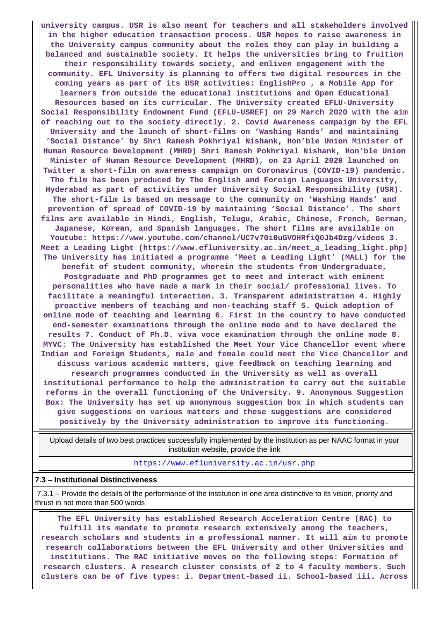**university campus. USR is also meant for teachers and all stakeholders involved in the higher education transaction process. USR hopes to raise awareness in the University campus community about the roles they can play in building a balanced and sustainable society. It helps the universities bring to fruition their responsibility towards society, and enliven engagement with the community. EFL University is planning to offers two digital resources in the coming years as part of its USR activities: EnglishPro , a Mobile App for learners from outside the educational institutions and Open Educational Resources based on its curricular. The University created EFLU-University Social Responsibility Endowment Fund (EFLU-USREF) on 29 March 2020 with the aim of reaching out to the society directly. 2. Covid Awareness campaign by the EFL University and the launch of short-films on 'Washing Hands' and maintaining 'Social Distance' by Shri Ramesh Pokhriyal Nishank, Hon'ble Union Minister of Human Resource Development (MHRD) Shri Ramesh Pokhriyal Nishank, Hon'ble Union Minister of Human Resource Development (MHRD), on 23 April 2020 launched on Twitter a short-film on awareness campaign on Coronavirus (COVID-19) pandemic. The film has been produced by The English and Foreign Languages University, Hyderabad as part of activities under University Social Responsibility (USR). The short-film is based on message to the community on 'Washing Hands' and prevention of spread of COVID-19 by maintaining 'Social Distance'. The short films are available in Hindi, English, Telugu, Arabic, Chinese, French, German, Japanese, Korean, and Spanish languages. The short films are available on Youtube: https://www.youtube.com/channel/UC7v70i0uGVOHRfiQ0Jb4Dzg/videos 3. Meet a Leading Light (https://www.efluniversity.ac.in/meet\_a\_leading\_light.php) The University has initiated a programme 'Meet a Leading Light' (MALL) for the benefit of student community, wherein the students from Undergraduate, Postgraduate and PhD programmes get to meet and interact with eminent personalities who have made a mark in their social/ professional lives. To facilitate a meaningful interaction. 3. Transparent administration 4. Highly proactive members of teaching and non-teaching staff 5. Quick adoption of online mode of teaching and learning 6. First in the country to have conducted end-semester examinations through the online mode and to have declared the results 7. Conduct of Ph.D. viva voce examination through the online mode 8. MYVC: The University has established the Meet Your Vice Chancellor event where Indian and Foreign Students, male and female could meet the Vice Chancellor and discuss various academic matters, give feedback on teaching learning and research programmes conducted in the University as well as overall institutional performance to help the administration to carry out the suitable reforms in the overall functioning of the University. 9. Anonymous Suggestion Box: The University has set up anonymous suggestion box in which students can give suggestions on various matters and these suggestions are considered positively by the University administration to improve its functioning.**

 Upload details of two best practices successfully implemented by the institution as per NAAC format in your institution website, provide the link

<https://www.efluniversity.ac.in/usr.php>

#### **7.3 – Institutional Distinctiveness**

 7.3.1 – Provide the details of the performance of the institution in one area distinctive to its vision, priority and thrust in not more than 500 words

 **The EFL University has established Research Acceleration Centre (RAC) to fulfill its mandate to promote research extensively among the teachers, research scholars and students in a professional manner. It will aim to promote research collaborations between the EFL University and other Universities and institutions. The RAC initiative moves on the following steps: Formation of research clusters. A research cluster consists of 2 to 4 faculty members. Such clusters can be of five types: i. Department-based ii. School-based iii. Across**